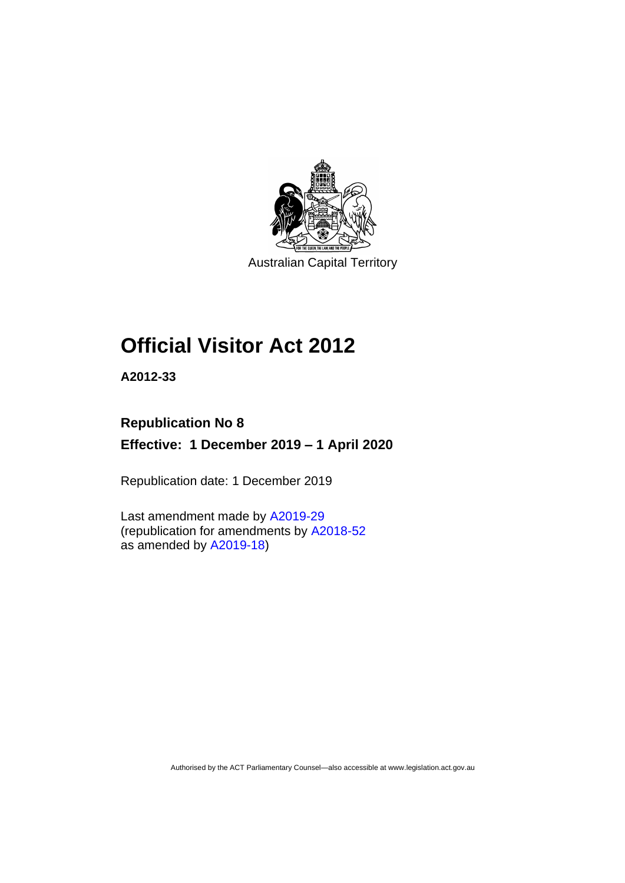

Australian Capital Territory

# **Official Visitor Act 2012**

**A2012-33**

### **Republication No 8**

**Effective: 1 December 2019 – 1 April 2020**

Republication date: 1 December 2019

Last amendment made by [A2019-29](http://www.legislation.act.gov.au/a/2019-29/) (republication for amendments by [A2018-52](https://www.legislation.act.gov.au/a/2018-52/#history) as amended by [A2019-18\)](https://www.legislation.act.gov.au/a/2019-18/)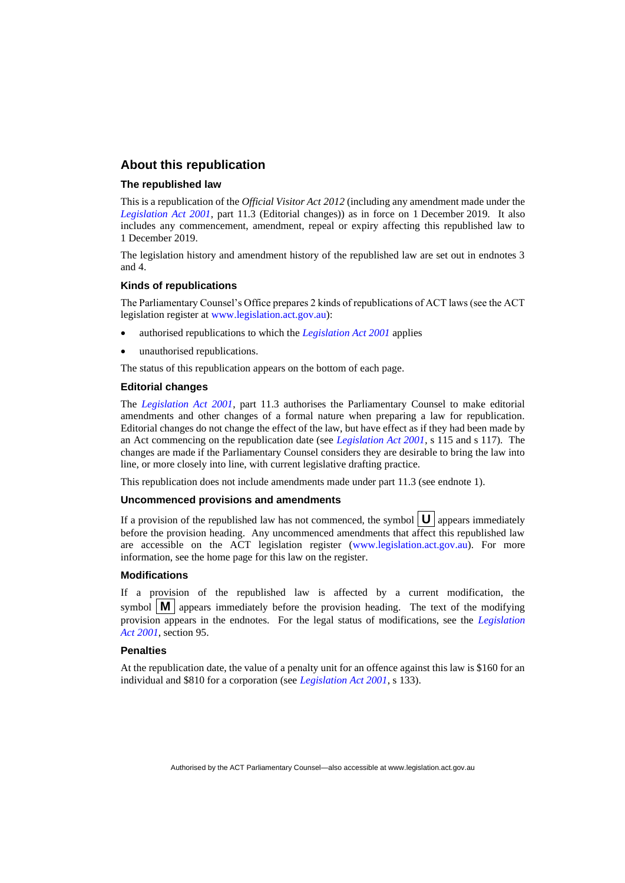#### **About this republication**

#### **The republished law**

This is a republication of the *Official Visitor Act 2012* (including any amendment made under the *[Legislation Act 2001](http://www.legislation.act.gov.au/a/2001-14)*, part 11.3 (Editorial changes)) as in force on 1 December 2019*.* It also includes any commencement, amendment, repeal or expiry affecting this republished law to 1 December 2019.

The legislation history and amendment history of the republished law are set out in endnotes 3 and 4.

#### **Kinds of republications**

The Parliamentary Counsel's Office prepares 2 kinds of republications of ACT laws (see the ACT legislation register at [www.legislation.act.gov.au\)](http://www.legislation.act.gov.au/):

- authorised republications to which the *[Legislation Act 2001](http://www.legislation.act.gov.au/a/2001-14)* applies
- unauthorised republications.

The status of this republication appears on the bottom of each page.

#### **Editorial changes**

The *[Legislation Act 2001](http://www.legislation.act.gov.au/a/2001-14)*, part 11.3 authorises the Parliamentary Counsel to make editorial amendments and other changes of a formal nature when preparing a law for republication. Editorial changes do not change the effect of the law, but have effect as if they had been made by an Act commencing on the republication date (see *[Legislation Act 2001](http://www.legislation.act.gov.au/a/2001-14)*, s 115 and s 117). The changes are made if the Parliamentary Counsel considers they are desirable to bring the law into line, or more closely into line, with current legislative drafting practice.

This republication does not include amendments made under part 11.3 (see endnote 1).

#### **Uncommenced provisions and amendments**

If a provision of the republished law has not commenced, the symbol  $\mathbf{U}$  appears immediately before the provision heading. Any uncommenced amendments that affect this republished law are accessible on the ACT legislation register [\(www.legislation.act.gov.au\)](http://www.legislation.act.gov.au/). For more information, see the home page for this law on the register.

#### **Modifications**

If a provision of the republished law is affected by a current modification, the symbol  $\mathbf{M}$  appears immediately before the provision heading. The text of the modifying provision appears in the endnotes. For the legal status of modifications, see the *[Legislation](http://www.legislation.act.gov.au/a/2001-14)  Act [2001](http://www.legislation.act.gov.au/a/2001-14)*, section 95.

#### **Penalties**

At the republication date, the value of a penalty unit for an offence against this law is \$160 for an individual and \$810 for a corporation (see *[Legislation Act 2001](http://www.legislation.act.gov.au/a/2001-14)*, s 133).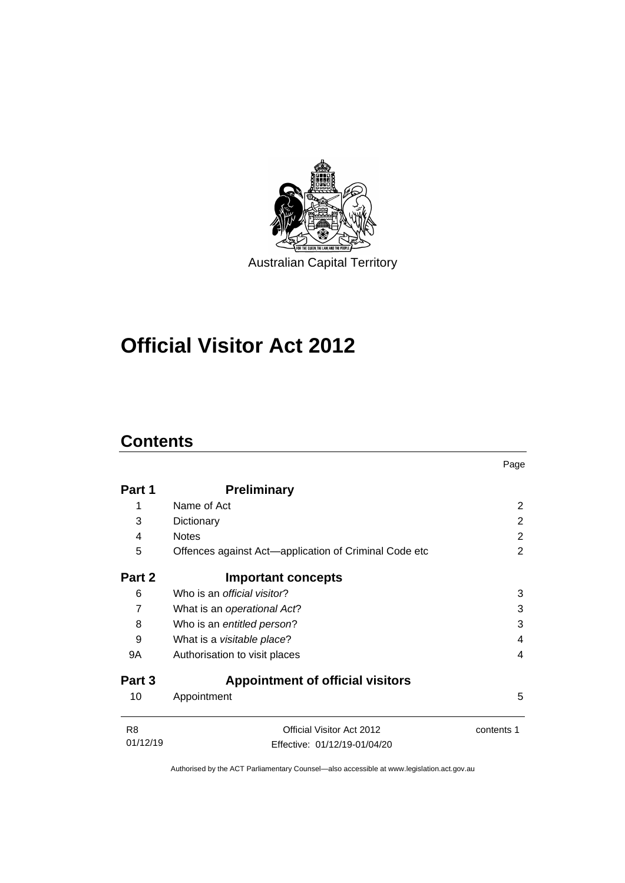

# **Official Visitor Act 2012**

### **Contents**

|                |                                                       | Page           |
|----------------|-------------------------------------------------------|----------------|
| Part 1         | <b>Preliminary</b>                                    |                |
| 1              | Name of Act                                           | 2              |
| 3              | Dictionary                                            | 2              |
| 4              | <b>Notes</b>                                          | $\overline{2}$ |
| 5              | Offences against Act—application of Criminal Code etc | 2              |
| Part 2         | <b>Important concepts</b>                             |                |
| 6              | Who is an <i>official visitor</i> ?                   | 3              |
| 7              | What is an operational Act?                           | 3              |
| 8              | Who is an entitled person?                            | 3              |
| 9              | What is a <i>visitable place</i> ?                    | 4              |
| 9A             | Authorisation to visit places                         | 4              |
| Part 3         | <b>Appointment of official visitors</b>               |                |
| 10             | Appointment                                           | 5              |
| R <sub>8</sub> | Official Visitor Act 2012                             | contents 1     |
| 01/12/19       | Effective: 01/12/19-01/04/20                          |                |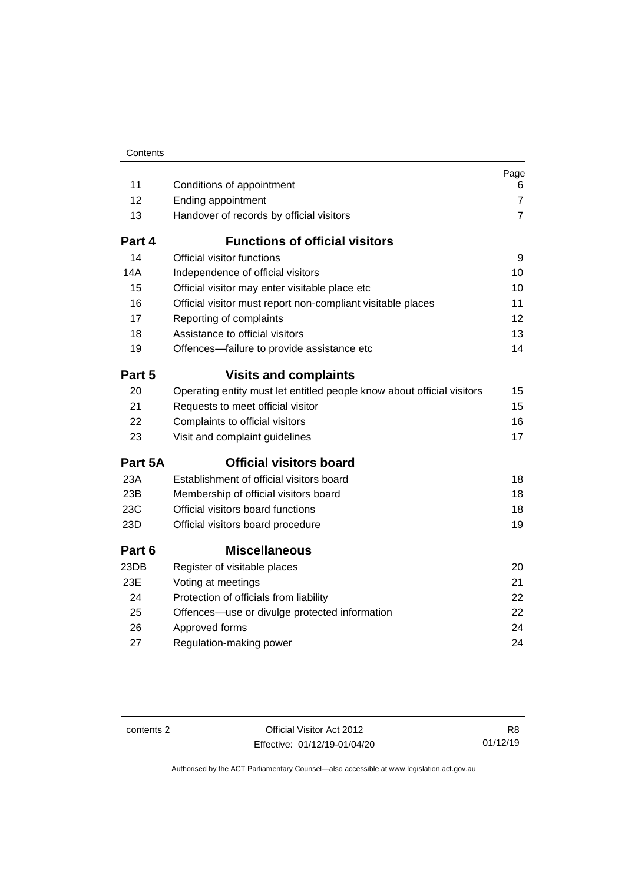|  | Contents |
|--|----------|
|  |          |

|            |                                                                        | Page           |
|------------|------------------------------------------------------------------------|----------------|
| 11         | Conditions of appointment                                              | 6              |
| 12         | <b>Ending appointment</b>                                              | $\overline{7}$ |
| 13         | Handover of records by official visitors                               | $\overline{7}$ |
| Part 4     | <b>Functions of official visitors</b>                                  |                |
| 14         | Official visitor functions                                             | 9              |
| <b>14A</b> | Independence of official visitors                                      | 10             |
| 15         | Official visitor may enter visitable place etc                         | 10             |
| 16         | Official visitor must report non-compliant visitable places            | 11             |
| 17         | Reporting of complaints                                                | 12             |
| 18         | Assistance to official visitors                                        | 13             |
| 19         | Offences-failure to provide assistance etc                             | 14             |
| Part 5     | <b>Visits and complaints</b>                                           |                |
| 20         | Operating entity must let entitled people know about official visitors | 15             |
| 21         | Requests to meet official visitor                                      | 15             |
| 22         | Complaints to official visitors                                        | 16             |
| 23         | Visit and complaint guidelines                                         | 17             |
| Part 5A    | <b>Official visitors board</b>                                         |                |
| 23A        | Establishment of official visitors board                               | 18             |
| 23B        | Membership of official visitors board                                  | 18             |
| 23C        | Official visitors board functions                                      | 18             |
| 23D        | Official visitors board procedure                                      | 19             |
| Part 6     | <b>Miscellaneous</b>                                                   |                |
| 23DB       | Register of visitable places                                           | 20             |
| 23E        | Voting at meetings                                                     | 21             |
| 24         | Protection of officials from liability                                 | 22             |
| 25         | Offences-use or divulge protected information                          | 22             |
| 26         | Approved forms                                                         | 24             |
| 27         | Regulation-making power                                                | 24             |
|            |                                                                        |                |

contents 2 Official Visitor Act 2012 Effective: 01/12/19-01/04/20

R8 01/12/19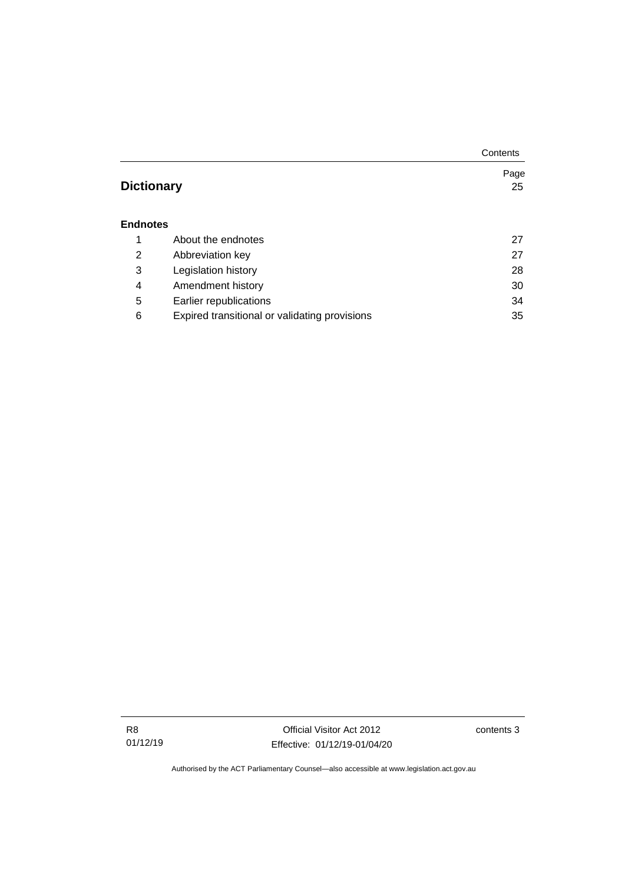| <b>Dictionary</b> |                                               | Page<br>25 |
|-------------------|-----------------------------------------------|------------|
| <b>Endnotes</b>   |                                               |            |
| 1                 | About the endnotes                            | 27         |
| 2                 | Abbreviation key                              | 27         |
| 3                 | Legislation history                           | 28         |
| 4                 | Amendment history                             | 30         |
| 5                 | Earlier republications                        | 34         |
| 6                 | Expired transitional or validating provisions | 35         |

**Contents**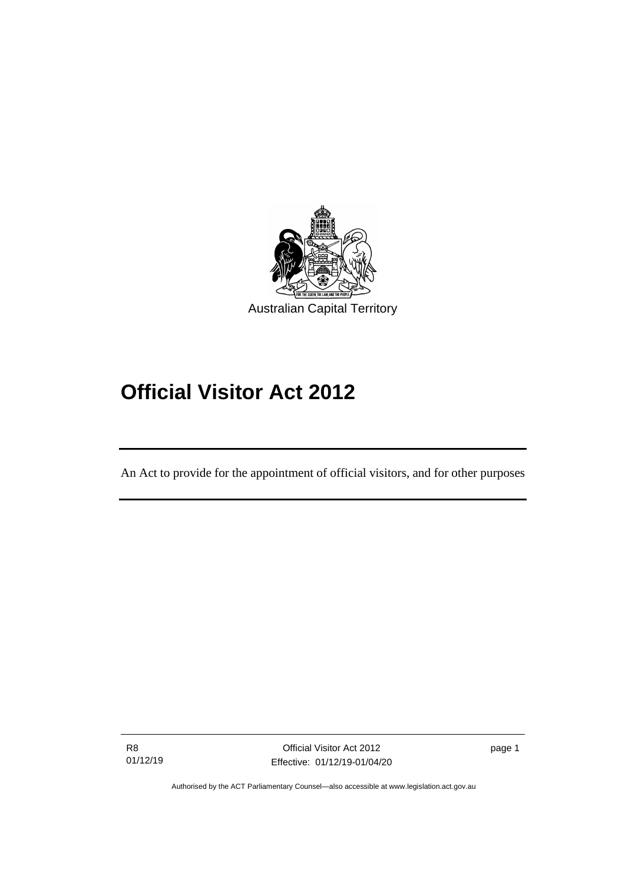

# **Official Visitor Act 2012**

An Act to provide for the appointment of official visitors, and for other purposes

R8 01/12/19

֖֖֖֚֚֚֡֬֝֬

page 1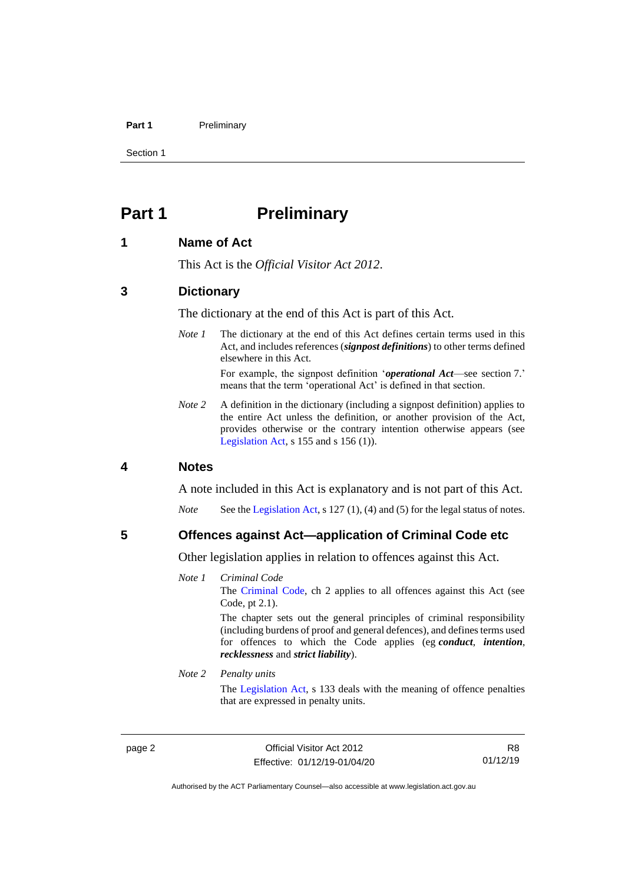#### **Part 1** Preliminary

Section 1

### <span id="page-7-0"></span>**Part 1 Preliminary**

#### <span id="page-7-1"></span>**1 Name of Act**

This Act is the *Official Visitor Act 2012*.

#### <span id="page-7-2"></span>**3 Dictionary**

The dictionary at the end of this Act is part of this Act.

*Note 1* The dictionary at the end of this Act defines certain terms used in this Act, and includes references (*signpost definitions*) to other terms defined elsewhere in this Act.

> For example, the signpost definition '*operational Act*—see section 7.' means that the term 'operational Act' is defined in that section.

*Note 2* A definition in the dictionary (including a signpost definition) applies to the entire Act unless the definition, or another provision of the Act, provides otherwise or the contrary intention otherwise appears (see [Legislation Act,](http://www.legislation.act.gov.au/a/2001-14) s 155 and s 156 (1)).

#### <span id="page-7-3"></span>**4 Notes**

A note included in this Act is explanatory and is not part of this Act.

*Note* See the [Legislation Act,](http://www.legislation.act.gov.au/a/2001-14) s 127 (1), (4) and (5) for the legal status of notes.

<span id="page-7-4"></span>**5 Offences against Act—application of Criminal Code etc**

Other legislation applies in relation to offences against this Act.

*Note 1 Criminal Code* The [Criminal Code,](http://www.legislation.act.gov.au/a/2002-51) ch 2 applies to all offences against this Act (see Code, pt 2.1). The chapter sets out the general principles of criminal responsibility

(including burdens of proof and general defences), and defines terms used for offences to which the Code applies (eg *conduct*, *intention*, *recklessness* and *strict liability*).

#### *Note 2 Penalty units*

The [Legislation Act,](http://www.legislation.act.gov.au/a/2001-14) s 133 deals with the meaning of offence penalties that are expressed in penalty units.

page 2 Official Visitor Act 2012 Effective: 01/12/19-01/04/20

R8 01/12/19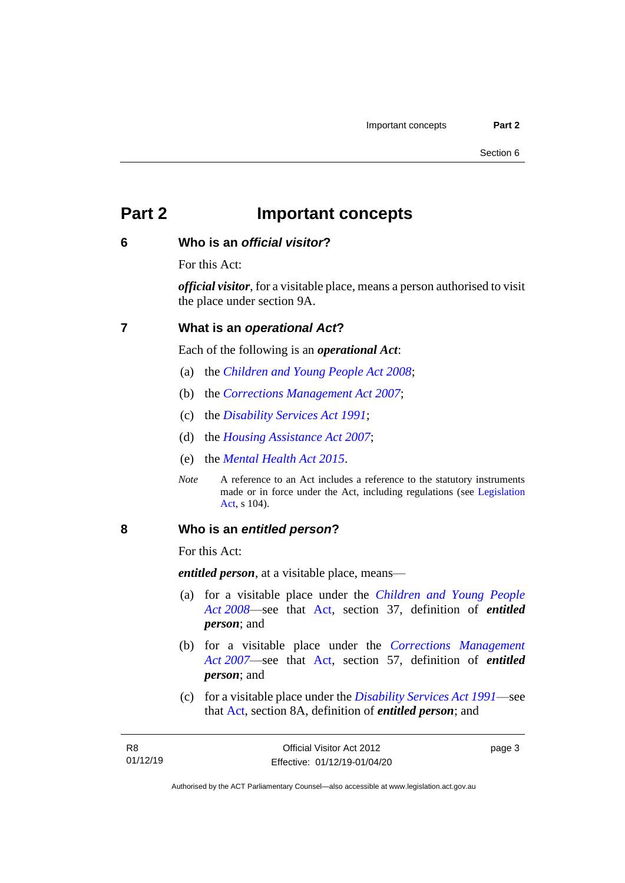### <span id="page-8-0"></span>**Part 2 Important concepts**

#### <span id="page-8-1"></span>**6 Who is an** *official visitor***?**

For this Act:

*official visitor*, for a visitable place, means a person authorised to visit the place under section 9A.

#### <span id="page-8-2"></span>**7 What is an** *operational Act***?**

Each of the following is an *operational Act*:

- (a) the *[Children and Young People Act 2008](http://www.legislation.act.gov.au/a/2008-19)*;
- (b) the *[Corrections Management Act 2007](http://www.legislation.act.gov.au/a/2007-15)*;
- (c) the *[Disability Services Act 1991](http://www.legislation.act.gov.au/a/1991-98)*;
- (d) the *[Housing Assistance Act 2007](http://www.legislation.act.gov.au/a/2007-8)*;
- (e) the *[Mental Health Act 2015](http://www.legislation.act.gov.au/a/2015-38)*.
- *Note* A reference to an Act includes a reference to the statutory instruments made or in force under the Act, including regulations (see [Legislation](http://www.legislation.act.gov.au/a/2001-14)  [Act,](http://www.legislation.act.gov.au/a/2001-14) s 104).

#### <span id="page-8-3"></span>**8 Who is an** *entitled person***?**

For this Act:

*entitled person*, at a visitable place, means—

- (a) for a visitable place under the *[Children and Young People](http://www.legislation.act.gov.au/a/2008-19)  Act [2008](http://www.legislation.act.gov.au/a/2008-19)*—see that [Act,](https://www.legislation.act.gov.au/a/2008-19) section 37, definition of *entitled person*; and
- (b) for a visitable place under the *[Corrections Management](http://www.legislation.act.gov.au/a/2007-15)  Act [2007](http://www.legislation.act.gov.au/a/2007-15)*—see that [Act,](https://www.legislation.act.gov.au/a/2007-15) section 57, definition of *entitled person*; and
- (c) for a visitable place under the *[Disability Services Act 1991](http://www.legislation.act.gov.au/a/1991-98)*—see that [Act,](https://www.legislation.act.gov.au/a/1991-98) section 8A, definition of *entitled person*; and

page 3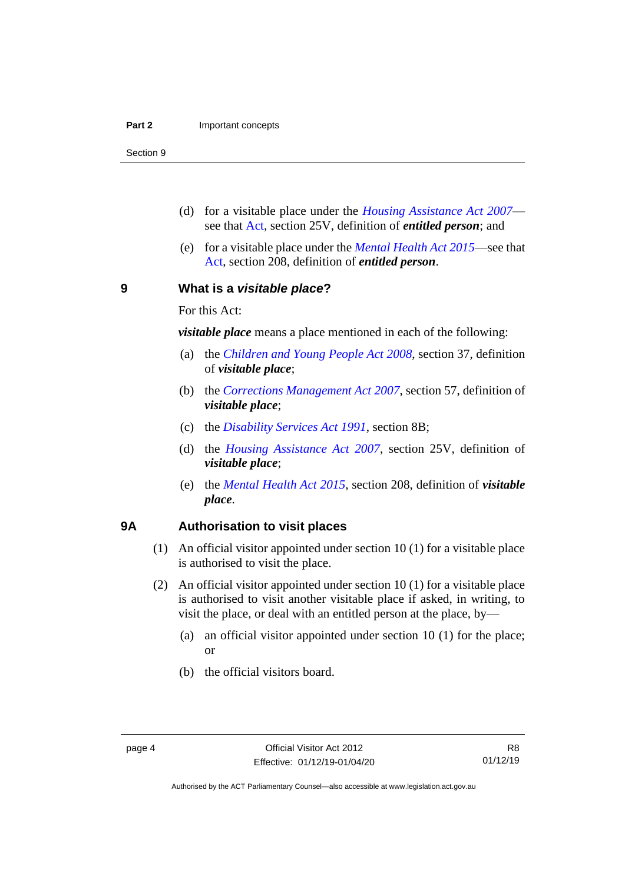Section 9

- (d) for a visitable place under the *[Housing Assistance Act 2007](http://www.legislation.act.gov.au/a/2007-8)* see that [Act,](https://www.legislation.act.gov.au/a/2007-8) section 25V, definition of *entitled person*; and
- (e) for a visitable place under the *[Mental Health Act 2015](http://www.legislation.act.gov.au/a/2015-38)*—see that [Act,](https://www.legislation.act.gov.au/a/2015-38) section 208, definition of *entitled person*.

<span id="page-9-0"></span>**9 What is a** *visitable place***?**

For this Act:

*visitable place* means a place mentioned in each of the following:

- (a) the *[Children and Young People Act](http://www.legislation.act.gov.au/a/2008-19) 2008*, section 37, definition of *visitable place*;
- (b) the *[Corrections Management Act](http://www.legislation.act.gov.au/a/2007-15) 2007*, section 57, definition of *visitable place*;
- (c) the *[Disability Services Act 1991](http://www.legislation.act.gov.au/a/1991-98)*, section 8B;
- (d) the *[Housing Assistance Act 2007](http://www.legislation.act.gov.au/a/2007-8)*, section 25V, definition of *visitable place*;
- (e) the *[Mental Health Act 2015](http://www.legislation.act.gov.au/a/2015-38)*, section 208, definition of *visitable place*.

#### <span id="page-9-1"></span>**9A Authorisation to visit places**

- (1) An official visitor appointed under section 10 (1) for a visitable place is authorised to visit the place.
- (2) An official visitor appointed under section 10 (1) for a visitable place is authorised to visit another visitable place if asked, in writing, to visit the place, or deal with an entitled person at the place, by—
	- (a) an official visitor appointed under section 10 (1) for the place; or
	- (b) the official visitors board.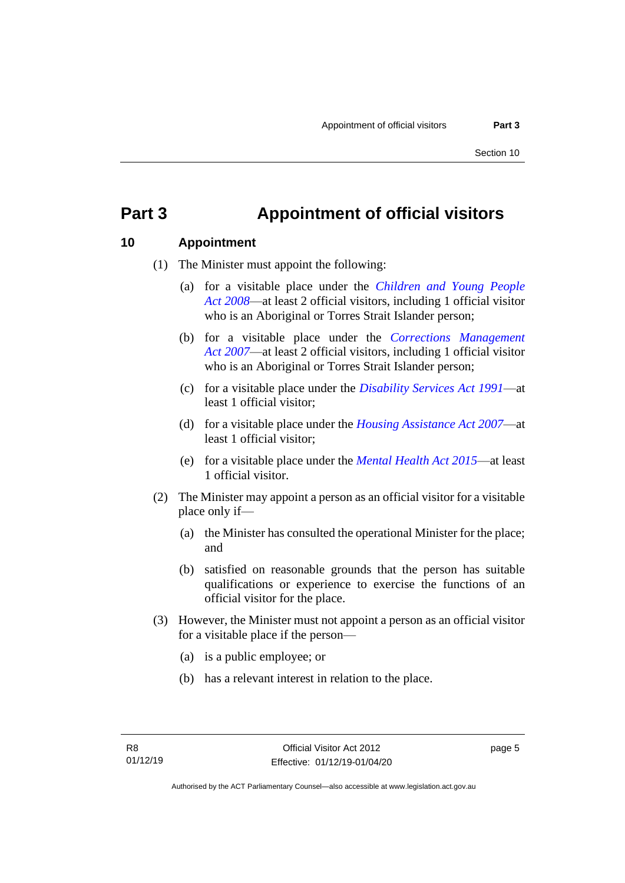### <span id="page-10-0"></span>**Part 3 Appointment of official visitors**

#### <span id="page-10-1"></span>**10 Appointment**

- (1) The Minister must appoint the following:
	- (a) for a visitable place under the *[Children and Young People](http://www.legislation.act.gov.au/a/2008-19)  Act [2008](http://www.legislation.act.gov.au/a/2008-19)*—at least 2 official visitors, including 1 official visitor who is an Aboriginal or Torres Strait Islander person;
	- (b) for a visitable place under the *[Corrections Management](http://www.legislation.act.gov.au/a/2007-15)  Act [2007](http://www.legislation.act.gov.au/a/2007-15)*—at least 2 official visitors, including 1 official visitor who is an Aboriginal or Torres Strait Islander person;
	- (c) for a visitable place under the *[Disability Services Act 1991](http://www.legislation.act.gov.au/a/1991-98)*—at least 1 official visitor;
	- (d) for a visitable place under the *[Housing Assistance Act 2007](http://www.legislation.act.gov.au/a/2007-8)*—at least 1 official visitor;
	- (e) for a visitable place under the *[Mental Health Act 2015](http://www.legislation.act.gov.au/a/2015-38)*—at least 1 official visitor.
- (2) The Minister may appoint a person as an official visitor for a visitable place only if—
	- (a) the Minister has consulted the operational Minister for the place; and
	- (b) satisfied on reasonable grounds that the person has suitable qualifications or experience to exercise the functions of an official visitor for the place.
- (3) However, the Minister must not appoint a person as an official visitor for a visitable place if the person—
	- (a) is a public employee; or
	- (b) has a relevant interest in relation to the place.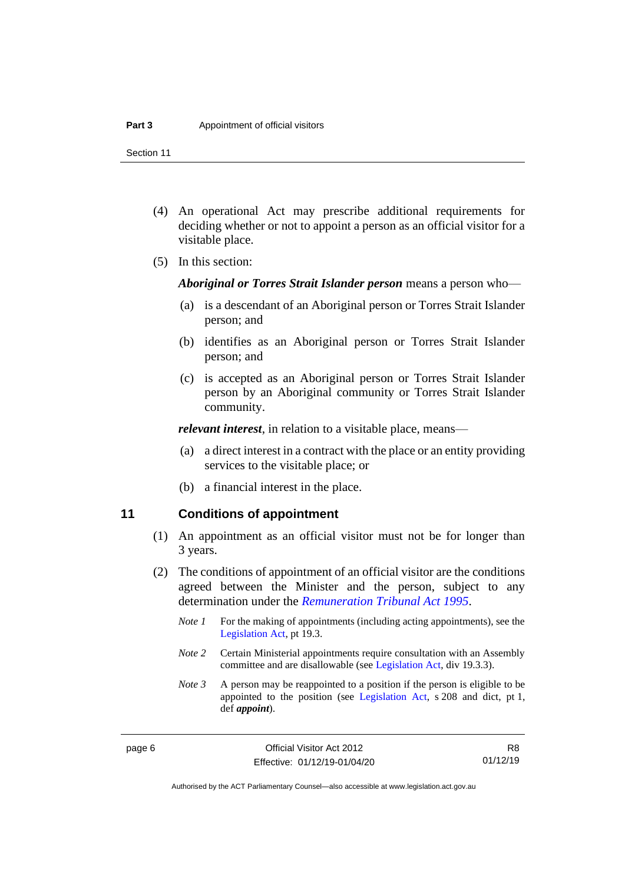Section 11

- (4) An operational Act may prescribe additional requirements for deciding whether or not to appoint a person as an official visitor for a visitable place.
- (5) In this section:

*Aboriginal or Torres Strait Islander person* means a person who—

- (a) is a descendant of an Aboriginal person or Torres Strait Islander person; and
- (b) identifies as an Aboriginal person or Torres Strait Islander person; and
- (c) is accepted as an Aboriginal person or Torres Strait Islander person by an Aboriginal community or Torres Strait Islander community.

*relevant interest*, in relation to a visitable place, means—

- (a) a direct interest in a contract with the place or an entity providing services to the visitable place; or
- (b) a financial interest in the place.

#### <span id="page-11-0"></span>**11 Conditions of appointment**

- (1) An appointment as an official visitor must not be for longer than 3 years.
- (2) The conditions of appointment of an official visitor are the conditions agreed between the Minister and the person, subject to any determination under the *[Remuneration Tribunal Act 1995](http://www.legislation.act.gov.au/a/1995-55)*.
	- *Note 1* For the making of appointments (including acting appointments), see the [Legislation Act,](http://www.legislation.act.gov.au/a/2001-14) pt 19.3.
	- *Note 2* Certain Ministerial appointments require consultation with an Assembly committee and are disallowable (see [Legislation Act,](http://www.legislation.act.gov.au/a/2001-14) div 19.3.3).
	- *Note 3* A person may be reappointed to a position if the person is eligible to be appointed to the position (see [Legislation Act,](http://www.legislation.act.gov.au/a/2001-14) s 208 and dict, pt 1, def *appoint*).

R8 01/12/19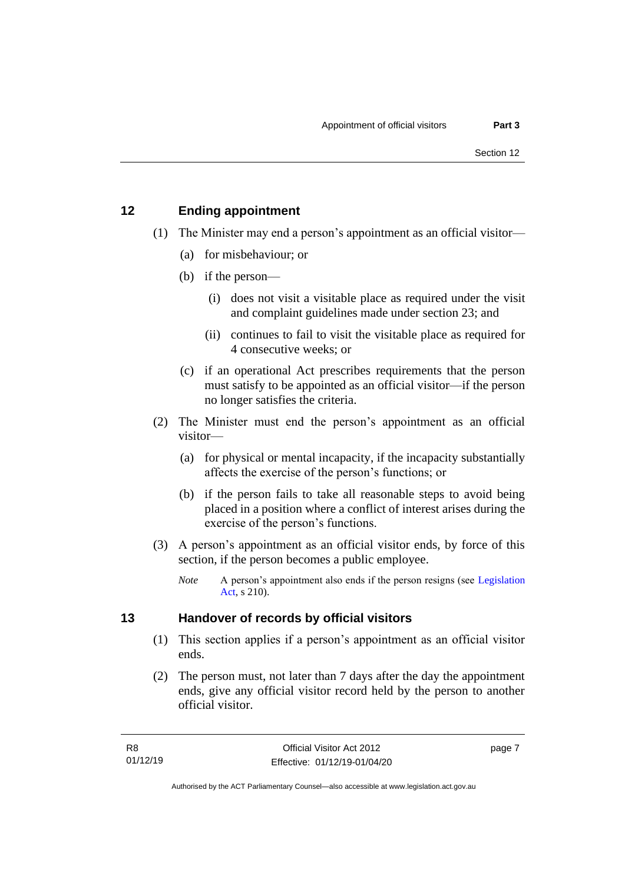#### <span id="page-12-0"></span>**12 Ending appointment**

- (1) The Minister may end a person's appointment as an official visitor—
	- (a) for misbehaviour; or
	- (b) if the person—
		- (i) does not visit a visitable place as required under the visit and complaint guidelines made under section 23; and
		- (ii) continues to fail to visit the visitable place as required for 4 consecutive weeks; or
	- (c) if an operational Act prescribes requirements that the person must satisfy to be appointed as an official visitor—if the person no longer satisfies the criteria.
- (2) The Minister must end the person's appointment as an official visitor—
	- (a) for physical or mental incapacity, if the incapacity substantially affects the exercise of the person's functions; or
	- (b) if the person fails to take all reasonable steps to avoid being placed in a position where a conflict of interest arises during the exercise of the person's functions.
- (3) A person's appointment as an official visitor ends, by force of this section, if the person becomes a public employee.
	- *Note* A person's appointment also ends if the person resigns (see Legislation [Act,](http://www.legislation.act.gov.au/a/2001-14) s 210).

#### <span id="page-12-1"></span>**13 Handover of records by official visitors**

- (1) This section applies if a person's appointment as an official visitor ends.
- (2) The person must, not later than 7 days after the day the appointment ends, give any official visitor record held by the person to another official visitor.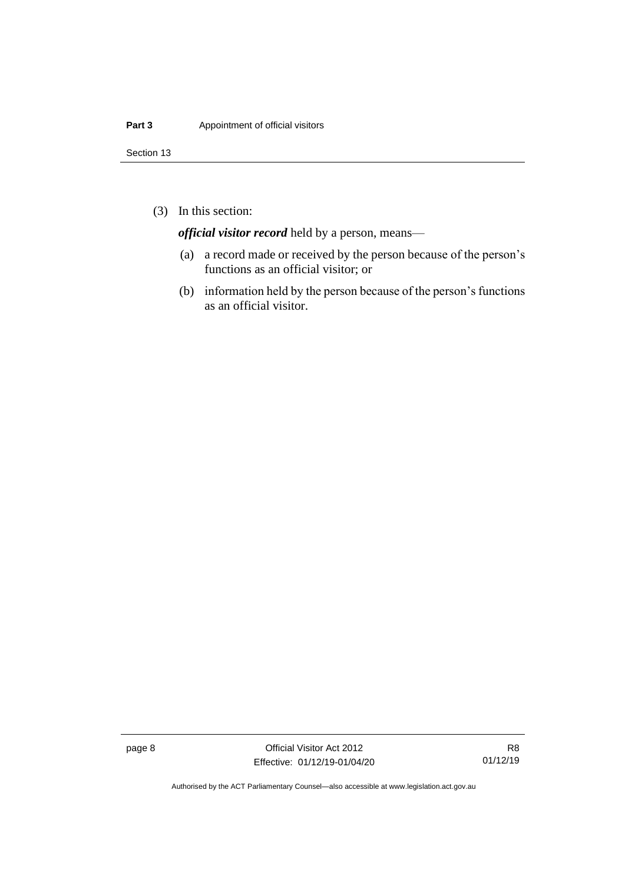Section 13

(3) In this section:

*official visitor record* held by a person, means—

- (a) a record made or received by the person because of the person's functions as an official visitor; or
- (b) information held by the person because of the person's functions as an official visitor.

page 8 Official Visitor Act 2012 Effective: 01/12/19-01/04/20

R8 01/12/19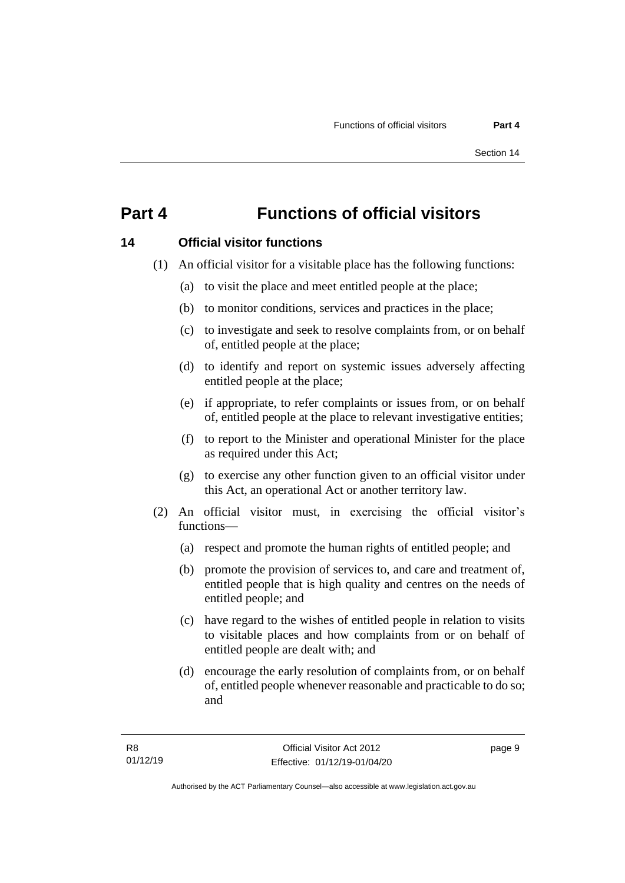### <span id="page-14-0"></span>**Part 4 Functions of official visitors**

#### <span id="page-14-1"></span>**14 Official visitor functions**

- (1) An official visitor for a visitable place has the following functions:
	- (a) to visit the place and meet entitled people at the place;
	- (b) to monitor conditions, services and practices in the place;
	- (c) to investigate and seek to resolve complaints from, or on behalf of, entitled people at the place;
	- (d) to identify and report on systemic issues adversely affecting entitled people at the place;
	- (e) if appropriate, to refer complaints or issues from, or on behalf of, entitled people at the place to relevant investigative entities;
	- (f) to report to the Minister and operational Minister for the place as required under this Act;
	- (g) to exercise any other function given to an official visitor under this Act, an operational Act or another territory law.
- (2) An official visitor must, in exercising the official visitor's functions—
	- (a) respect and promote the human rights of entitled people; and
	- (b) promote the provision of services to, and care and treatment of, entitled people that is high quality and centres on the needs of entitled people; and
	- (c) have regard to the wishes of entitled people in relation to visits to visitable places and how complaints from or on behalf of entitled people are dealt with; and
	- (d) encourage the early resolution of complaints from, or on behalf of, entitled people whenever reasonable and practicable to do so; and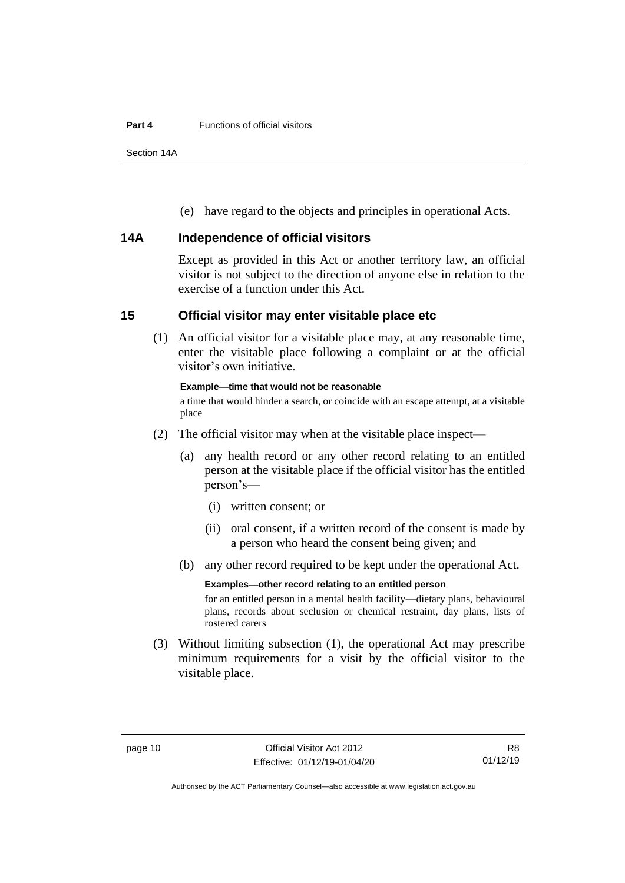#### **Part 4** Functions of official visitors

Section 14A

(e) have regard to the objects and principles in operational Acts.

#### <span id="page-15-0"></span>**14A Independence of official visitors**

Except as provided in this Act or another territory law, an official visitor is not subject to the direction of anyone else in relation to the exercise of a function under this Act.

#### <span id="page-15-1"></span>**15 Official visitor may enter visitable place etc**

(1) An official visitor for a visitable place may, at any reasonable time, enter the visitable place following a complaint or at the official visitor's own initiative.

#### **Example—time that would not be reasonable**

a time that would hinder a search, or coincide with an escape attempt, at a visitable place

- (2) The official visitor may when at the visitable place inspect—
	- (a) any health record or any other record relating to an entitled person at the visitable place if the official visitor has the entitled person's—
		- (i) written consent; or
		- (ii) oral consent, if a written record of the consent is made by a person who heard the consent being given; and
	- (b) any other record required to be kept under the operational Act.

#### **Examples—other record relating to an entitled person**

for an entitled person in a mental health facility—dietary plans, behavioural plans, records about seclusion or chemical restraint, day plans, lists of rostered carers

(3) Without limiting subsection (1), the operational Act may prescribe minimum requirements for a visit by the official visitor to the visitable place.

Authorised by the ACT Parliamentary Counsel—also accessible at www.legislation.act.gov.au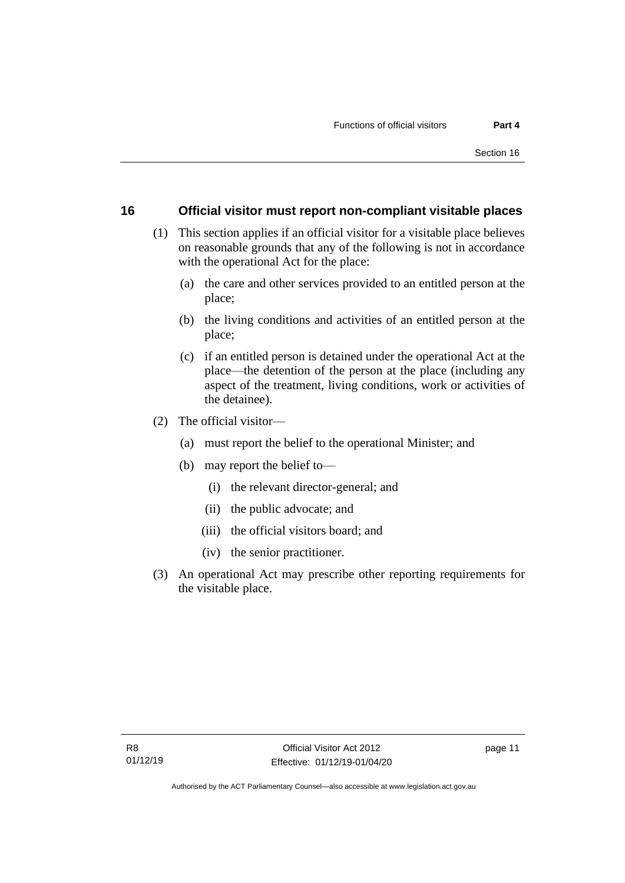#### <span id="page-16-0"></span>**16 Official visitor must report non-compliant visitable places**

- (1) This section applies if an official visitor for a visitable place believes on reasonable grounds that any of the following is not in accordance with the operational Act for the place:
	- (a) the care and other services provided to an entitled person at the place;
	- (b) the living conditions and activities of an entitled person at the place;
	- (c) if an entitled person is detained under the operational Act at the place—the detention of the person at the place (including any aspect of the treatment, living conditions, work or activities of the detainee).
- (2) The official visitor—
	- (a) must report the belief to the operational Minister; and
	- (b) may report the belief to—
		- (i) the relevant director-general; and
		- (ii) the public advocate; and
		- (iii) the official visitors board; and
		- (iv) the senior practitioner.
- (3) An operational Act may prescribe other reporting requirements for the visitable place.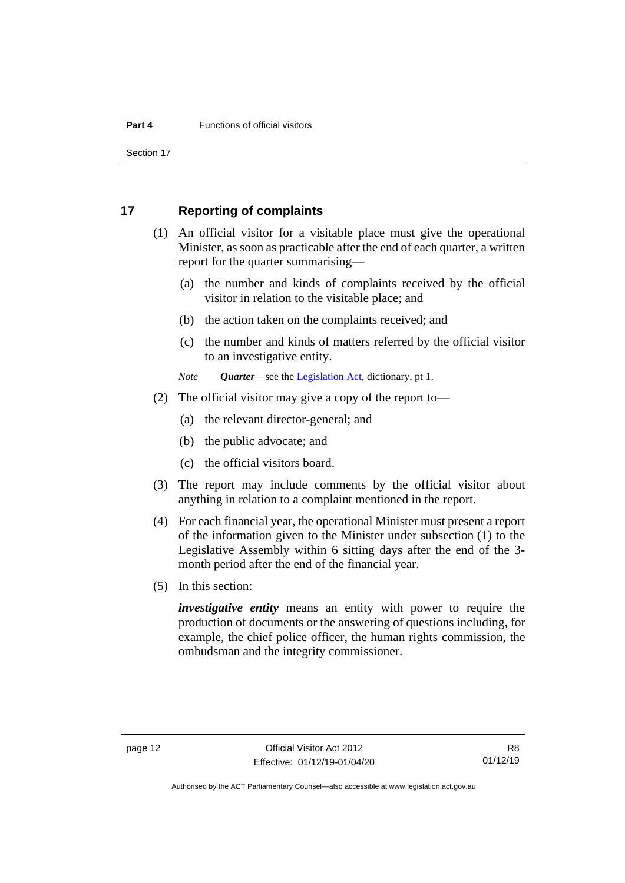Section 17

#### <span id="page-17-0"></span>**17 Reporting of complaints**

- (1) An official visitor for a visitable place must give the operational Minister, as soon as practicable after the end of each quarter, a written report for the quarter summarising—
	- (a) the number and kinds of complaints received by the official visitor in relation to the visitable place; and
	- (b) the action taken on the complaints received; and
	- (c) the number and kinds of matters referred by the official visitor to an investigative entity.
	- *Note Quarter*—see the [Legislation Act,](http://www.legislation.act.gov.au/a/2001-14) dictionary, pt 1.
- (2) The official visitor may give a copy of the report to—
	- (a) the relevant director-general; and
	- (b) the public advocate; and
	- (c) the official visitors board.
- (3) The report may include comments by the official visitor about anything in relation to a complaint mentioned in the report.
- (4) For each financial year, the operational Minister must present a report of the information given to the Minister under subsection (1) to the Legislative Assembly within 6 sitting days after the end of the 3 month period after the end of the financial year.
- (5) In this section:

*investigative entity* means an entity with power to require the production of documents or the answering of questions including, for example, the chief police officer, the human rights commission, the ombudsman and the integrity commissioner.

Authorised by the ACT Parliamentary Counsel—also accessible at www.legislation.act.gov.au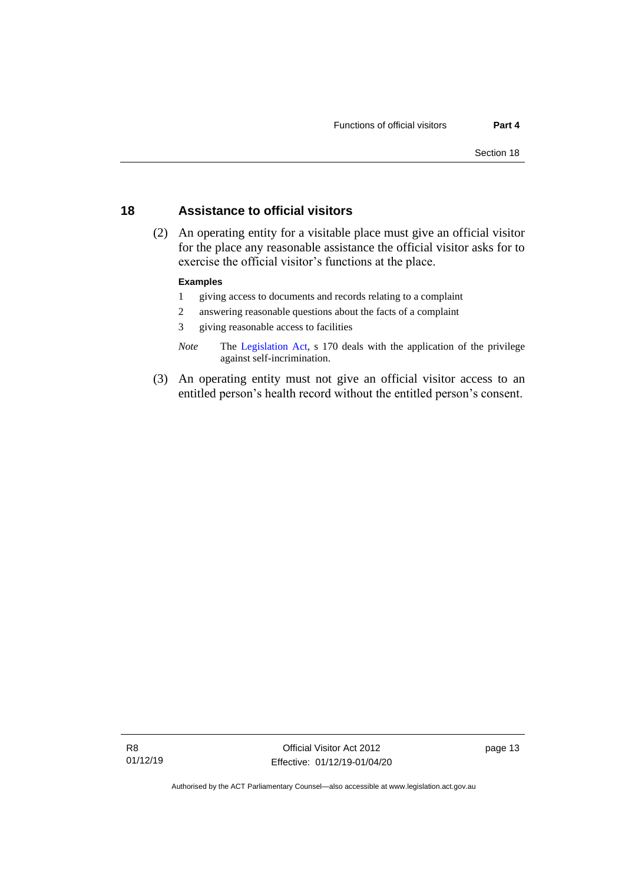#### <span id="page-18-0"></span>**18 Assistance to official visitors**

(2) An operating entity for a visitable place must give an official visitor for the place any reasonable assistance the official visitor asks for to exercise the official visitor's functions at the place.

#### **Examples**

- 1 giving access to documents and records relating to a complaint
- 2 answering reasonable questions about the facts of a complaint
- 3 giving reasonable access to facilities
- *Note* The [Legislation Act,](http://www.legislation.act.gov.au/a/2001-14) s 170 deals with the application of the privilege against self-incrimination.
- (3) An operating entity must not give an official visitor access to an entitled person's health record without the entitled person's consent.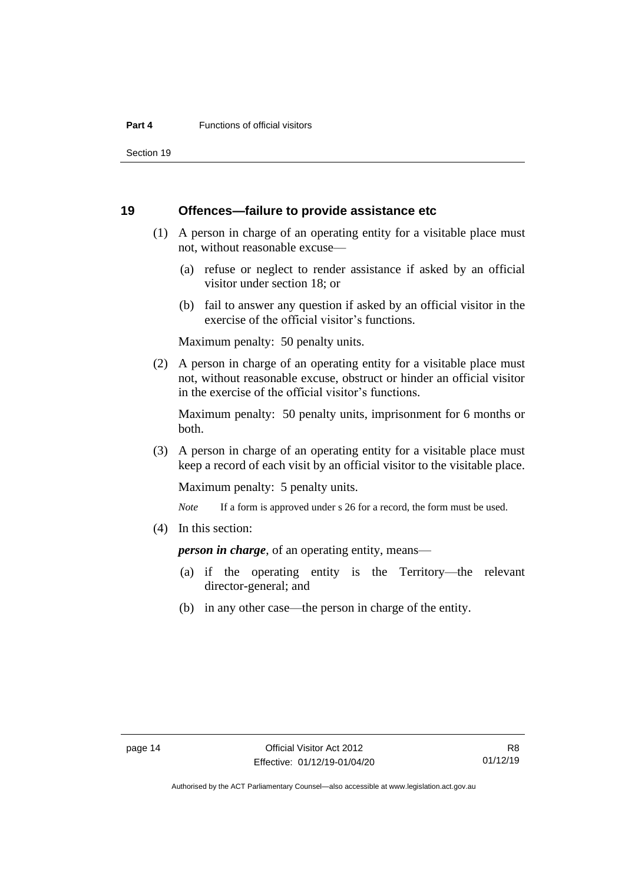Section 19

#### <span id="page-19-0"></span>**19 Offences—failure to provide assistance etc**

- (1) A person in charge of an operating entity for a visitable place must not, without reasonable excuse—
	- (a) refuse or neglect to render assistance if asked by an official visitor under section 18; or
	- (b) fail to answer any question if asked by an official visitor in the exercise of the official visitor's functions.

Maximum penalty: 50 penalty units.

(2) A person in charge of an operating entity for a visitable place must not, without reasonable excuse, obstruct or hinder an official visitor in the exercise of the official visitor's functions.

Maximum penalty: 50 penalty units, imprisonment for 6 months or both.

(3) A person in charge of an operating entity for a visitable place must keep a record of each visit by an official visitor to the visitable place.

Maximum penalty: 5 penalty units.

*Note* If a form is approved under s 26 for a record, the form must be used.

(4) In this section:

*person in charge*, of an operating entity, means—

- (a) if the operating entity is the Territory—the relevant director-general; and
- (b) in any other case—the person in charge of the entity.

Authorised by the ACT Parliamentary Counsel—also accessible at www.legislation.act.gov.au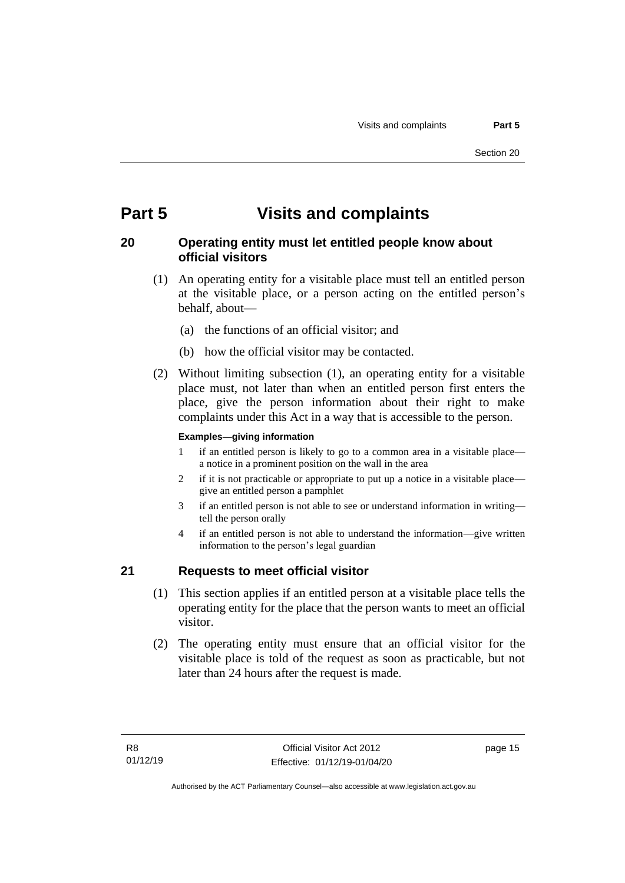### <span id="page-20-0"></span>**Part 5 Visits and complaints**

#### <span id="page-20-1"></span>**20 Operating entity must let entitled people know about official visitors**

- (1) An operating entity for a visitable place must tell an entitled person at the visitable place, or a person acting on the entitled person's behalf, about—
	- (a) the functions of an official visitor; and
	- (b) how the official visitor may be contacted.
- (2) Without limiting subsection (1), an operating entity for a visitable place must, not later than when an entitled person first enters the place, give the person information about their right to make complaints under this Act in a way that is accessible to the person.

#### **Examples—giving information**

- 1 if an entitled person is likely to go to a common area in a visitable place a notice in a prominent position on the wall in the area
- 2 if it is not practicable or appropriate to put up a notice in a visitable place give an entitled person a pamphlet
- 3 if an entitled person is not able to see or understand information in writing tell the person orally
- 4 if an entitled person is not able to understand the information—give written information to the person's legal guardian

#### <span id="page-20-2"></span>**21 Requests to meet official visitor**

- (1) This section applies if an entitled person at a visitable place tells the operating entity for the place that the person wants to meet an official visitor.
- (2) The operating entity must ensure that an official visitor for the visitable place is told of the request as soon as practicable, but not later than 24 hours after the request is made.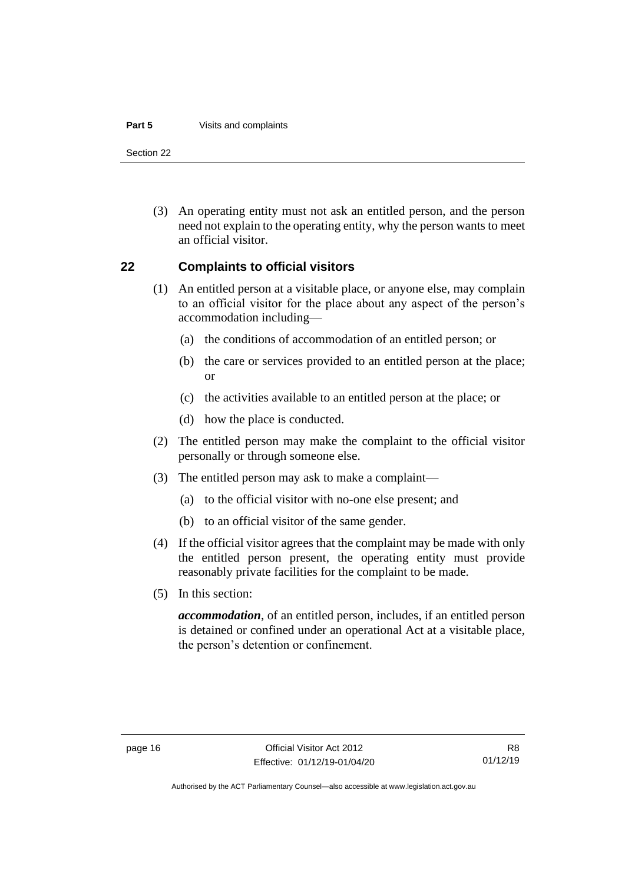#### **Part 5** Visits and complaints

Section 22

(3) An operating entity must not ask an entitled person, and the person need not explain to the operating entity, why the person wants to meet an official visitor.

#### <span id="page-21-0"></span>**22 Complaints to official visitors**

- (1) An entitled person at a visitable place, or anyone else, may complain to an official visitor for the place about any aspect of the person's accommodation including—
	- (a) the conditions of accommodation of an entitled person; or
	- (b) the care or services provided to an entitled person at the place; or
	- (c) the activities available to an entitled person at the place; or
	- (d) how the place is conducted.
- (2) The entitled person may make the complaint to the official visitor personally or through someone else.
- (3) The entitled person may ask to make a complaint—
	- (a) to the official visitor with no-one else present; and
	- (b) to an official visitor of the same gender.
- (4) If the official visitor agrees that the complaint may be made with only the entitled person present, the operating entity must provide reasonably private facilities for the complaint to be made.
- (5) In this section:

*accommodation*, of an entitled person, includes, if an entitled person is detained or confined under an operational Act at a visitable place, the person's detention or confinement.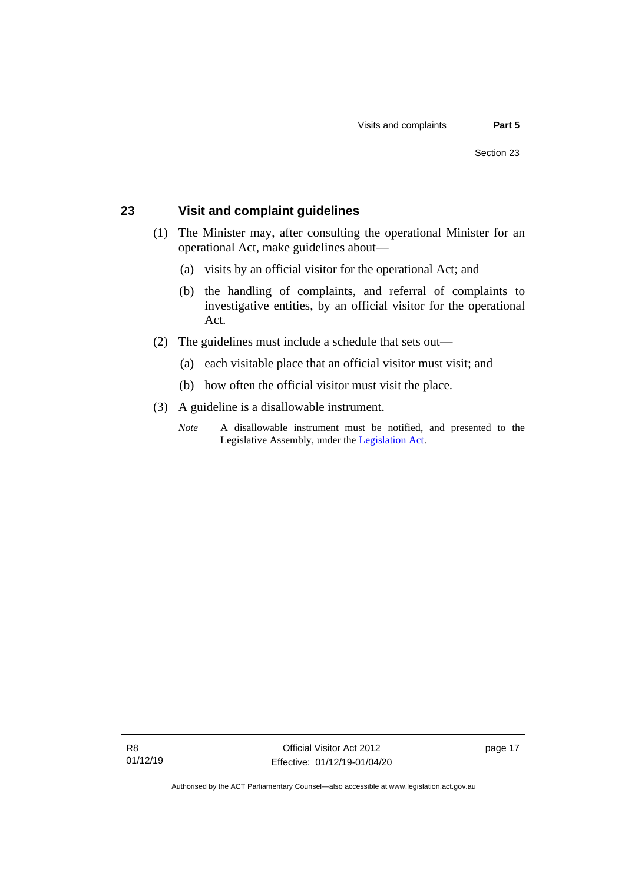#### <span id="page-22-0"></span>**23 Visit and complaint guidelines**

- (1) The Minister may, after consulting the operational Minister for an operational Act, make guidelines about—
	- (a) visits by an official visitor for the operational Act; and
	- (b) the handling of complaints, and referral of complaints to investigative entities, by an official visitor for the operational Act.
- (2) The guidelines must include a schedule that sets out—
	- (a) each visitable place that an official visitor must visit; and
	- (b) how often the official visitor must visit the place.
- (3) A guideline is a disallowable instrument.
	- *Note* A disallowable instrument must be notified, and presented to the Legislative Assembly, under the [Legislation Act.](http://www.legislation.act.gov.au/a/2001-14)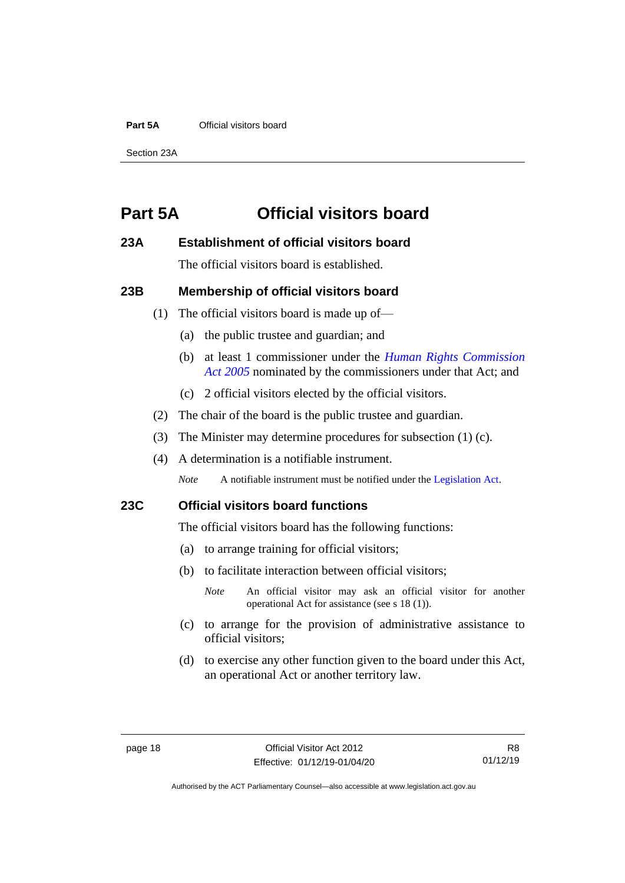#### **Part 5A** Official visitors board

Section 23A

### <span id="page-23-0"></span>**Part 5A Official visitors board**

#### <span id="page-23-1"></span>**23A Establishment of official visitors board**

The official visitors board is established.

#### <span id="page-23-2"></span>**23B Membership of official visitors board**

- (1) The official visitors board is made up of—
	- (a) the public trustee and guardian; and
	- (b) at least 1 commissioner under the *[Human Rights Commission](http://www.legislation.act.gov.au/a/2005-40)  Act [2005](http://www.legislation.act.gov.au/a/2005-40)* nominated by the commissioners under that Act; and
	- (c) 2 official visitors elected by the official visitors.
- (2) The chair of the board is the public trustee and guardian.
- (3) The Minister may determine procedures for subsection (1) (c).
- (4) A determination is a notifiable instrument.

*Note* A notifiable instrument must be notified under the [Legislation Act.](http://www.legislation.act.gov.au/a/2001-14)

#### <span id="page-23-3"></span>**23C Official visitors board functions**

The official visitors board has the following functions:

- (a) to arrange training for official visitors;
- (b) to facilitate interaction between official visitors;
	- *Note* An official visitor may ask an official visitor for another operational Act for assistance (see s 18 (1)).
- (c) to arrange for the provision of administrative assistance to official visitors;
- (d) to exercise any other function given to the board under this Act, an operational Act or another territory law.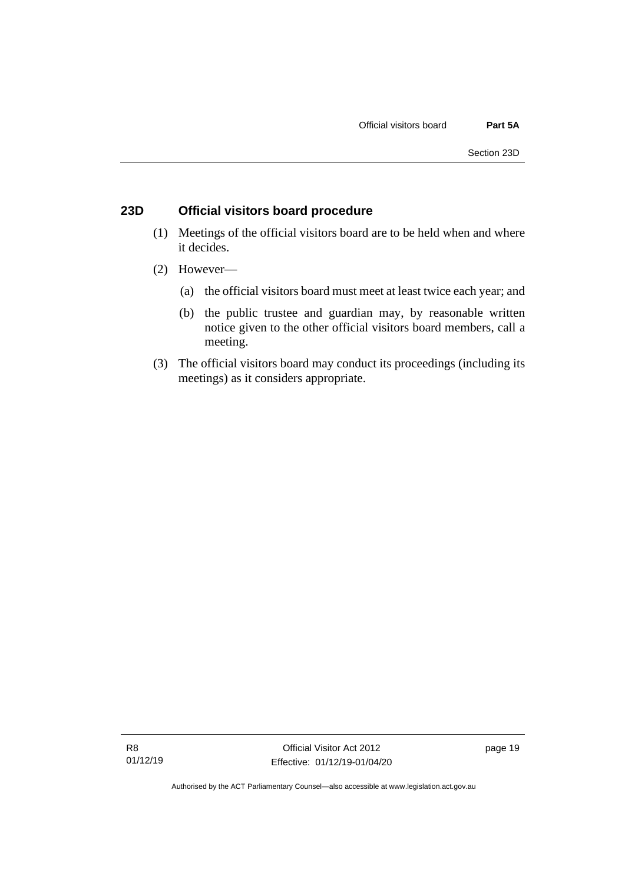#### <span id="page-24-0"></span>**23D Official visitors board procedure**

- (1) Meetings of the official visitors board are to be held when and where it decides.
- (2) However—
	- (a) the official visitors board must meet at least twice each year; and
	- (b) the public trustee and guardian may, by reasonable written notice given to the other official visitors board members, call a meeting.
- (3) The official visitors board may conduct its proceedings (including its meetings) as it considers appropriate.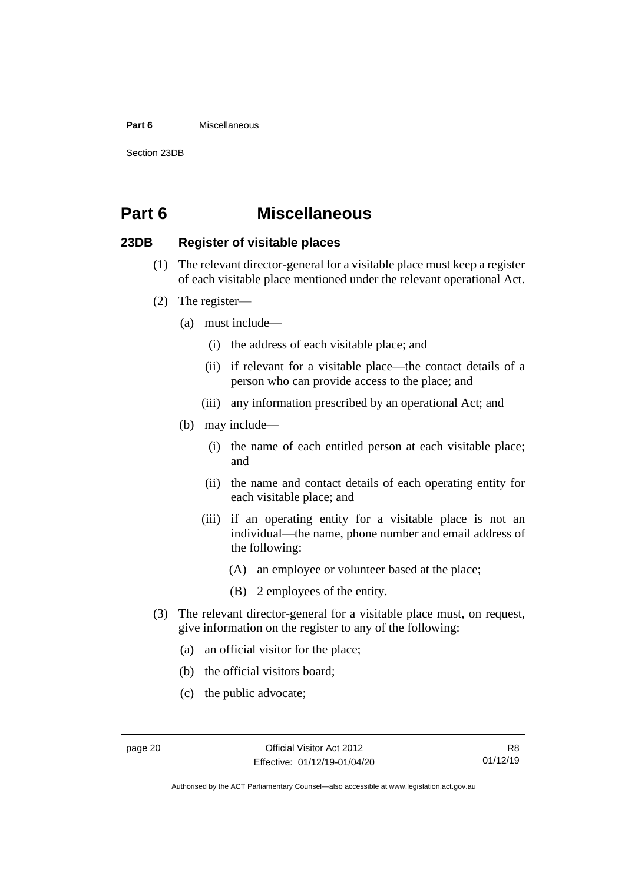#### **Part 6** Miscellaneous

Section 23DB

### <span id="page-25-0"></span>**Part 6 Miscellaneous**

#### <span id="page-25-1"></span>**23DB Register of visitable places**

- (1) The relevant director-general for a visitable place must keep a register of each visitable place mentioned under the relevant operational Act.
- (2) The register—
	- (a) must include—
		- (i) the address of each visitable place; and
		- (ii) if relevant for a visitable place—the contact details of a person who can provide access to the place; and
		- (iii) any information prescribed by an operational Act; and
	- (b) may include—
		- (i) the name of each entitled person at each visitable place; and
		- (ii) the name and contact details of each operating entity for each visitable place; and
		- (iii) if an operating entity for a visitable place is not an individual—the name, phone number and email address of the following:
			- (A) an employee or volunteer based at the place;
			- (B) 2 employees of the entity.
- (3) The relevant director-general for a visitable place must, on request, give information on the register to any of the following:
	- (a) an official visitor for the place;
	- (b) the official visitors board;
	- (c) the public advocate;

Authorised by the ACT Parliamentary Counsel—also accessible at www.legislation.act.gov.au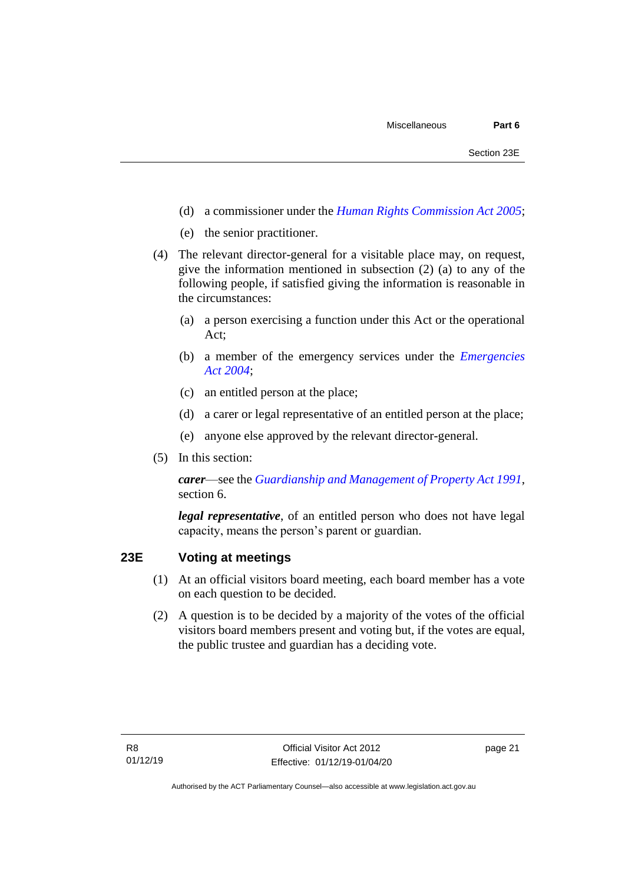- (d) a commissioner under the *[Human Rights Commission Act 2005](http://www.legislation.act.gov.au/a/2005-40)*;
- (e) the senior practitioner.
- (4) The relevant director-general for a visitable place may, on request, give the information mentioned in subsection (2) (a) to any of the following people, if satisfied giving the information is reasonable in the circumstances:
	- (a) a person exercising a function under this Act or the operational Act;
	- (b) a member of the emergency services under the *[Emergencies](http://www.legislation.act.gov.au/a/2004-28)  Act [2004](http://www.legislation.act.gov.au/a/2004-28)*;
	- (c) an entitled person at the place;
	- (d) a carer or legal representative of an entitled person at the place;
	- (e) anyone else approved by the relevant director-general.
- (5) In this section:

*carer*—see the *[Guardianship and Management of Property Act 1991](http://www.legislation.act.gov.au/a/1991-62)*, section 6.

*legal representative*, of an entitled person who does not have legal capacity, means the person's parent or guardian.

#### <span id="page-26-0"></span>**23E Voting at meetings**

- (1) At an official visitors board meeting, each board member has a vote on each question to be decided.
- (2) A question is to be decided by a majority of the votes of the official visitors board members present and voting but, if the votes are equal, the public trustee and guardian has a deciding vote.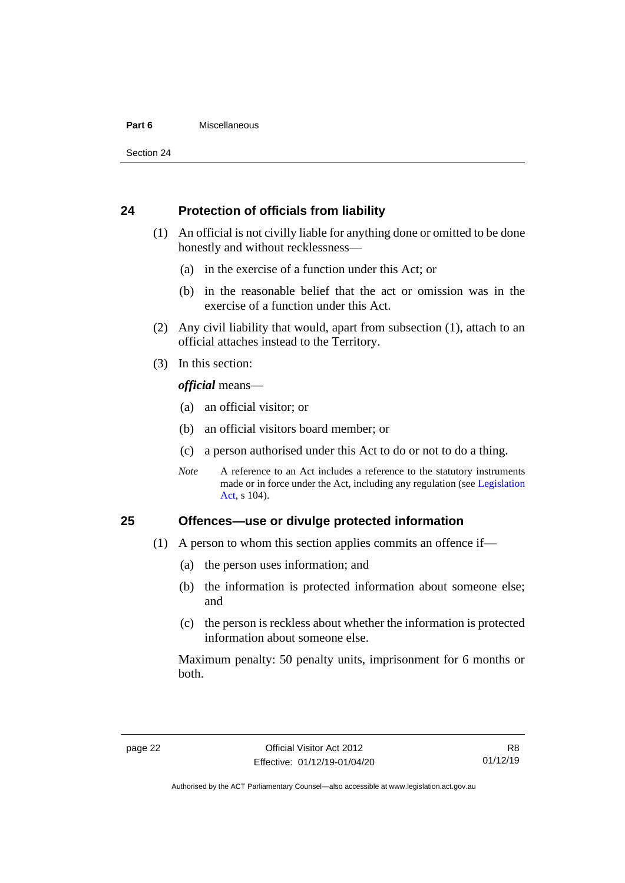#### **Part 6** Miscellaneous

Section 24

#### <span id="page-27-0"></span>**24 Protection of officials from liability**

- (1) An official is not civilly liable for anything done or omitted to be done honestly and without recklessness—
	- (a) in the exercise of a function under this Act; or
	- (b) in the reasonable belief that the act or omission was in the exercise of a function under this Act.
- (2) Any civil liability that would, apart from subsection (1), attach to an official attaches instead to the Territory.
- (3) In this section:

*official* means—

- (a) an official visitor; or
- (b) an official visitors board member; or
- (c) a person authorised under this Act to do or not to do a thing.
- *Note* A reference to an Act includes a reference to the statutory instruments made or in force under the Act, including any regulation (see [Legislation](http://www.legislation.act.gov.au/a/2001-14)  [Act,](http://www.legislation.act.gov.au/a/2001-14) s 104).

#### <span id="page-27-1"></span>**25 Offences—use or divulge protected information**

- (1) A person to whom this section applies commits an offence if—
	- (a) the person uses information; and
	- (b) the information is protected information about someone else; and
	- (c) the person is reckless about whether the information is protected information about someone else.

Maximum penalty: 50 penalty units, imprisonment for 6 months or both.

Authorised by the ACT Parliamentary Counsel—also accessible at www.legislation.act.gov.au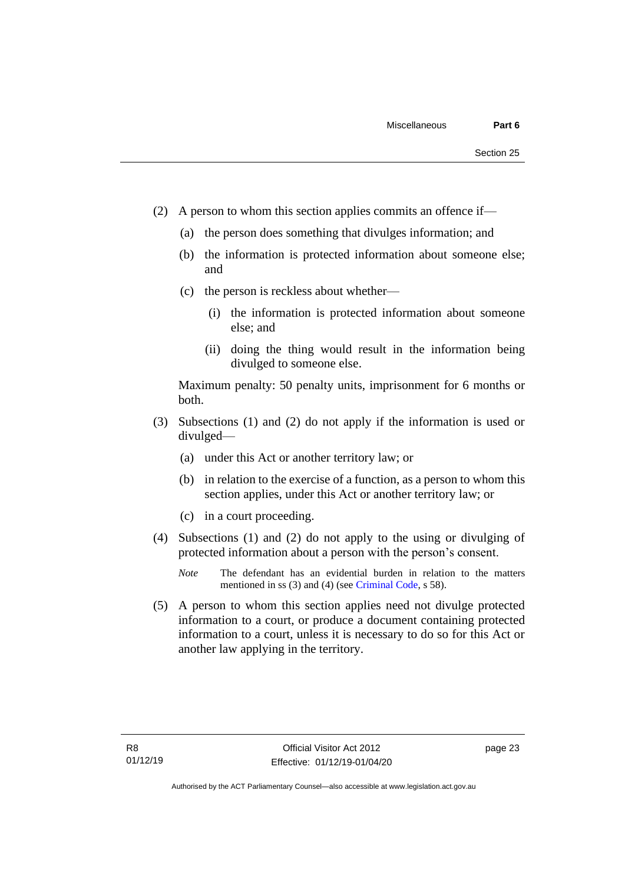- (2) A person to whom this section applies commits an offence if—
	- (a) the person does something that divulges information; and
	- (b) the information is protected information about someone else; and
	- (c) the person is reckless about whether—
		- (i) the information is protected information about someone else; and
		- (ii) doing the thing would result in the information being divulged to someone else.

Maximum penalty: 50 penalty units, imprisonment for 6 months or both.

- (3) Subsections (1) and (2) do not apply if the information is used or divulged—
	- (a) under this Act or another territory law; or
	- (b) in relation to the exercise of a function, as a person to whom this section applies, under this Act or another territory law; or
	- (c) in a court proceeding.
- (4) Subsections (1) and (2) do not apply to the using or divulging of protected information about a person with the person's consent.
	- *Note* The defendant has an evidential burden in relation to the matters mentioned in ss (3) and (4) (see [Criminal Code,](http://www.legislation.act.gov.au/a/2002-51) s 58).
- (5) A person to whom this section applies need not divulge protected information to a court, or produce a document containing protected information to a court, unless it is necessary to do so for this Act or another law applying in the territory.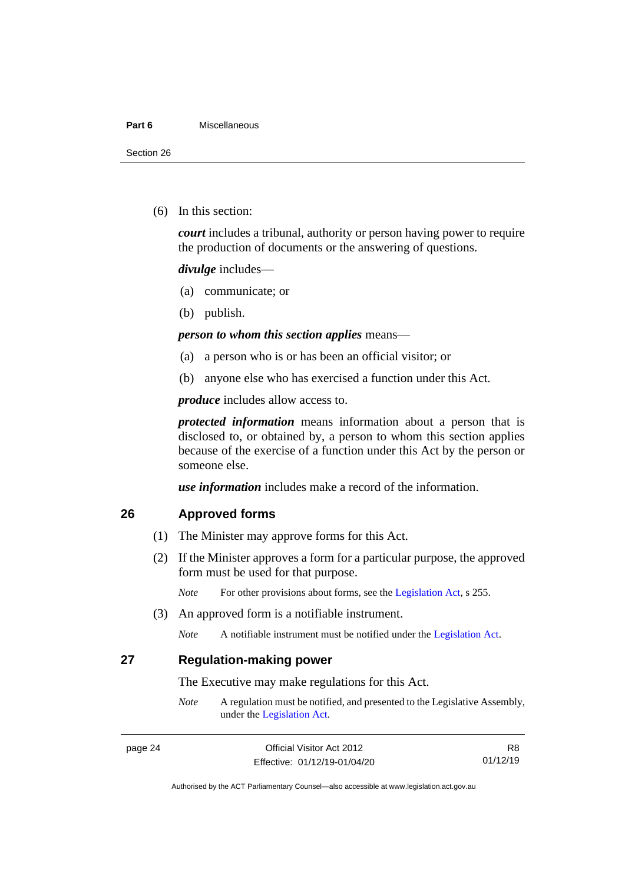#### **Part 6** Miscellaneous

Section 26

(6) In this section:

*court* includes a tribunal, authority or person having power to require the production of documents or the answering of questions.

*divulge* includes—

- (a) communicate; or
- (b) publish.

#### *person to whom this section applies* means—

- (a) a person who is or has been an official visitor; or
- (b) anyone else who has exercised a function under this Act.

*produce* includes allow access to.

*protected information* means information about a person that is disclosed to, or obtained by, a person to whom this section applies because of the exercise of a function under this Act by the person or someone else.

*use information* includes make a record of the information.

#### <span id="page-29-0"></span>**26 Approved forms**

- (1) The Minister may approve forms for this Act.
- (2) If the Minister approves a form for a particular purpose, the approved form must be used for that purpose.

*Note* For other provisions about forms, see th[e Legislation Act,](http://www.legislation.act.gov.au/a/2001-14) s 255.

- (3) An approved form is a notifiable instrument.
	- *Note* A notifiable instrument must be notified under the [Legislation Act.](http://www.legislation.act.gov.au/a/2001-14)

<span id="page-29-1"></span>**27 Regulation-making power**

The Executive may make regulations for this Act.

*Note* A regulation must be notified, and presented to the Legislative Assembly, under the [Legislation Act.](http://www.legislation.act.gov.au/a/2001-14)

R8 01/12/19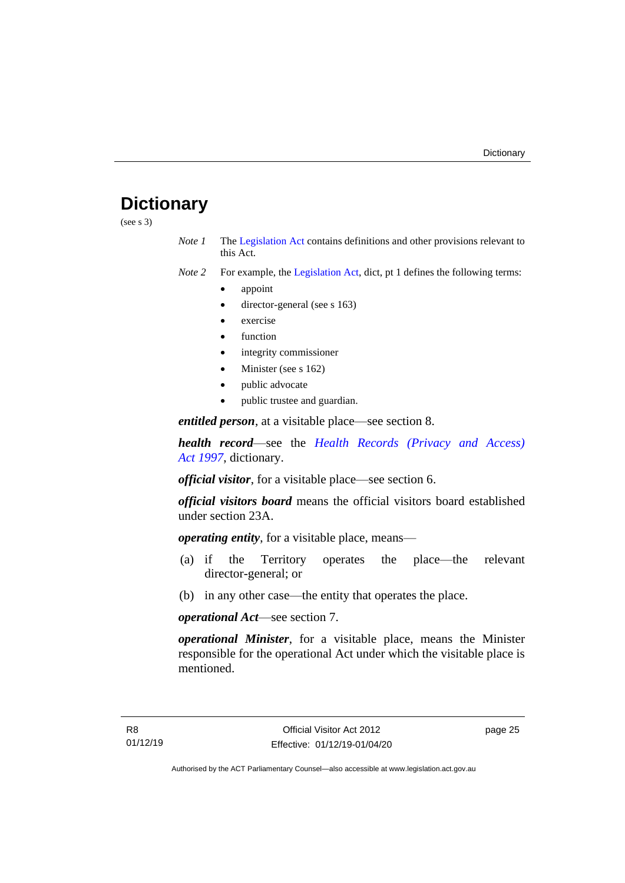## <span id="page-30-0"></span>**Dictionary**

(see s 3)

- *Note 1* The [Legislation Act](http://www.legislation.act.gov.au/a/2001-14) contains definitions and other provisions relevant to this Act.
- *Note 2* For example, the [Legislation Act,](http://www.legislation.act.gov.au/a/2001-14) dict, pt 1 defines the following terms:
	- appoint
	- director-general (see s 163)
	- exercise
	- function
	- integrity commissioner
	- Minister (see s 162)
	- public advocate
	- public trustee and guardian.

*entitled person*, at a visitable place—see section 8.

*health record*—see the *[Health Records \(Privacy and Access\)](http://www.legislation.act.gov.au/a/1997-125)  Act [1997](http://www.legislation.act.gov.au/a/1997-125)*, dictionary.

*official visitor*, for a visitable place—see section 6.

*official visitors board* means the official visitors board established under section 23A.

*operating entity*, for a visitable place, means—

- (a) if the Territory operates the place—the relevant director-general; or
- (b) in any other case—the entity that operates the place.

*operational Act*—see section 7.

*operational Minister*, for a visitable place, means the Minister responsible for the operational Act under which the visitable place is mentioned.

page 25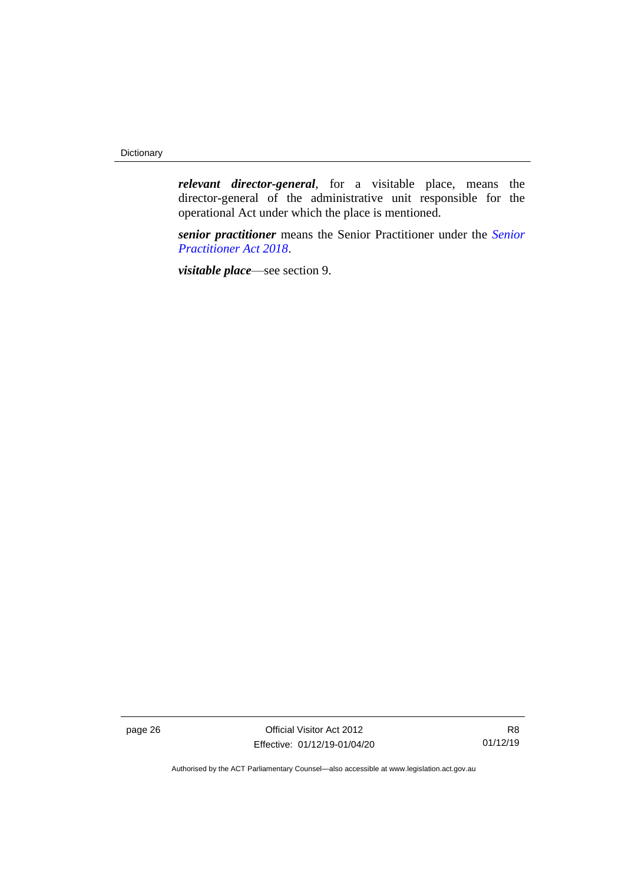*relevant director-general*, for a visitable place, means the director-general of the administrative unit responsible for the operational Act under which the place is mentioned.

*senior practitioner* means the Senior Practitioner under the *[Senior](http://www.legislation.act.gov.au/a/2018-27)  [Practitioner Act 2018](http://www.legislation.act.gov.au/a/2018-27)*.

*visitable place*—see section 9.

page 26 Official Visitor Act 2012 Effective: 01/12/19-01/04/20

R8 01/12/19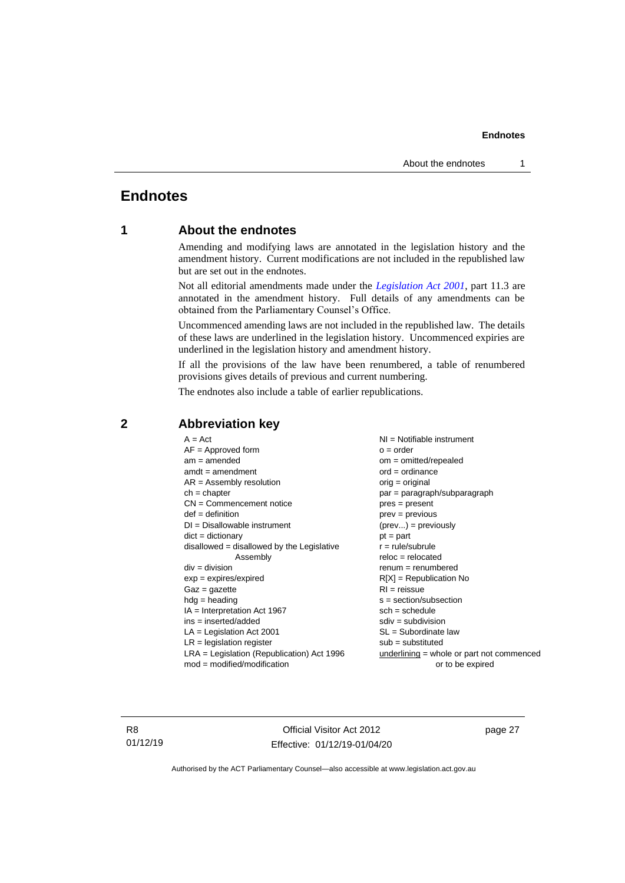### <span id="page-32-1"></span><span id="page-32-0"></span>**Endnotes**

#### **1 About the endnotes**

Amending and modifying laws are annotated in the legislation history and the amendment history. Current modifications are not included in the republished law but are set out in the endnotes.

Not all editorial amendments made under the *[Legislation Act 2001](http://www.legislation.act.gov.au/a/2001-14)*, part 11.3 are annotated in the amendment history. Full details of any amendments can be obtained from the Parliamentary Counsel's Office.

Uncommenced amending laws are not included in the republished law. The details of these laws are underlined in the legislation history. Uncommenced expiries are underlined in the legislation history and amendment history.

If all the provisions of the law have been renumbered, a table of renumbered provisions gives details of previous and current numbering.

The endnotes also include a table of earlier republications.

| $A = Act$                                  | $NI =$ Notifiable instrument              |
|--------------------------------------------|-------------------------------------------|
| $AF =$ Approved form                       | $o = order$                               |
| $am = amended$                             | $om = omitted/repealed$                   |
| $amdt = amendment$                         | $ord = ordinance$                         |
| $AR = Assembly resolution$                 | $orig = original$                         |
| $ch = chapter$                             | par = paragraph/subparagraph              |
| $CN =$ Commencement notice                 | $pres = present$                          |
| $def = definition$                         | $prev = previous$                         |
| $DI = Disallowable instrument$             | $(\text{prev}) = \text{previously}$       |
| $dict = dictionary$                        | $pt = part$                               |
| disallowed = disallowed by the Legislative | $r = rule/subrule$                        |
| Assembly                                   | $reloc = relocated$                       |
| $div = division$                           | $renum = renumbered$                      |
| $exp = expires/expired$                    | $R[X]$ = Republication No                 |
| $Gaz = gazette$                            | $RI = reissue$                            |
| $h dq =$ heading                           | $s = section/subsection$                  |
| $IA = Interpretation Act 1967$             | $sch = schedule$                          |
| $ins = inserted/added$                     | $sdiv = subdivision$                      |
| $LA =$ Legislation Act 2001                | $SL = Subordinate$ law                    |
| $LR =$ legislation register                | $sub =$ substituted                       |
| LRA = Legislation (Republication) Act 1996 | underlining = whole or part not commenced |
| $mod = modified/modification$              | or to be expired                          |
|                                            |                                           |

#### <span id="page-32-2"></span>**2 Abbreviation key**

R8 01/12/19

Official Visitor Act 2012 Effective: 01/12/19-01/04/20 page 27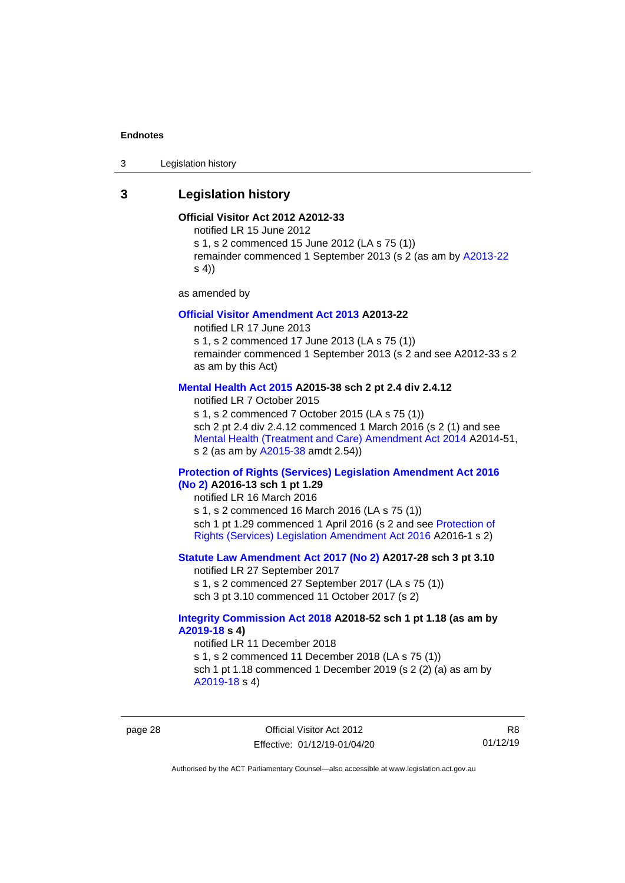3 Legislation history

#### <span id="page-33-0"></span>**3 Legislation history**

#### **Official Visitor Act 2012 A2012-33**

notified LR 15 June 2012

s 1, s 2 commenced 15 June 2012 (LA s 75 (1))

remainder commenced 1 September 2013 (s 2 (as am by [A2013-22](http://www.legislation.act.gov.au/a/2013-22/default.asp) s 4))

as amended by

#### **[Official Visitor Amendment Act 2013](http://www.legislation.act.gov.au/a/2013-22/default.asp) A2013-22**

notified LR 17 June 2013 s 1, s 2 commenced 17 June 2013 (LA s 75 (1)) remainder commenced 1 September 2013 (s 2 and see A2012-33 s 2 as am by this Act)

#### **[Mental Health Act 2015](http://www.legislation.act.gov.au/a/2015-38#history) A2015-38 sch 2 pt 2.4 div 2.4.12**

notified LR 7 October 2015 s 1, s 2 commenced 7 October 2015 (LA s 75 (1)) sch 2 pt 2.4 div 2.4.12 commenced 1 March 2016 (s 2 (1) and see [Mental Health \(Treatment and Care\) Amendment Act 2014](http://www.legislation.act.gov.au/a/2014-51/default.asp) A2014-51, s 2 (as am by [A2015-38](http://www.legislation.act.gov.au/a/2015-38) amdt 2.54))

#### **[Protection of Rights \(Services\) Legislation Amendment Act 2016](http://www.legislation.act.gov.au/a/2016-13)  [\(No](http://www.legislation.act.gov.au/a/2016-13) 2) A2016-13 sch 1 pt 1.29**

notified LR 16 March 2016 s 1, s 2 commenced 16 March 2016 (LA s 75 (1)) sch 1 pt 1.29 commenced 1 April 2016 (s 2 and see [Protection of](http://www.legislation.act.gov.au/a/2016-1/default.asp)  [Rights \(Services\) Legislation Amendment Act 2016](http://www.legislation.act.gov.au/a/2016-1/default.asp) A2016-1 s 2)

#### **[Statute Law Amendment Act 2017 \(No 2\)](http://www.legislation.act.gov.au/a/2017-28/default.asp) A2017-28 sch 3 pt 3.10**

notified LR 27 September 2017 s 1, s 2 commenced 27 September 2017 (LA s 75 (1)) sch 3 pt 3.10 commenced 11 October 2017 (s 2)

#### **[Integrity Commission Act 2018](http://www.legislation.act.gov.au/a/2018-52#history) A2018-52 sch 1 pt 1.18 (as am by [A2019-18](https://www.legislation.act.gov.au/a/2019-18) s 4)**

notified LR 11 December 2018 s 1, s 2 commenced 11 December 2018 (LA s 75 (1)) sch 1 pt 1.18 commenced 1 December 2019 (s 2 (2) (a) as am by [A2019-18](https://www.legislation.act.gov.au/a/2019-18) s 4)

R8 01/12/19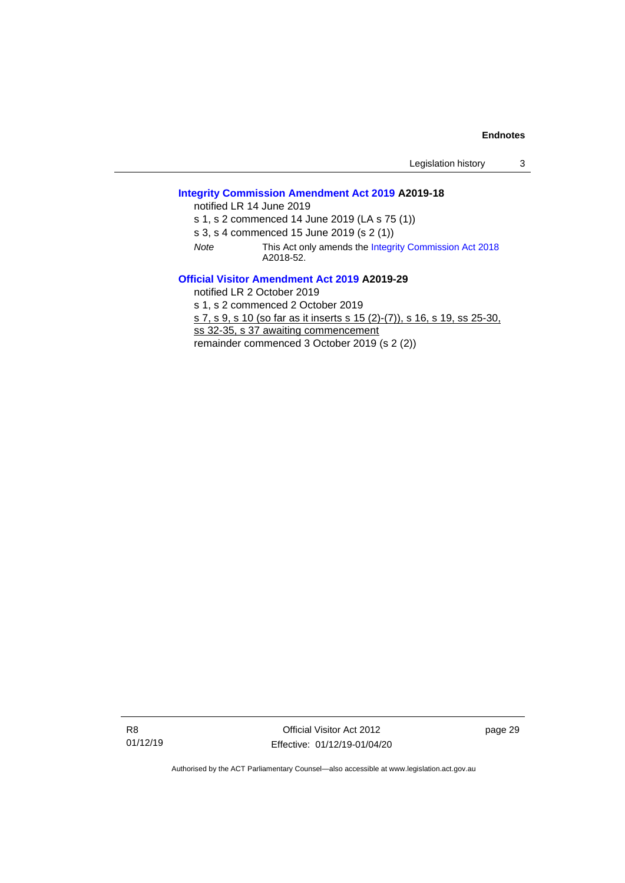#### **[Integrity Commission Amendment Act 2019](http://www.legislation.act.gov.au/a/2019-18/default.asp) A2019-18**

notified LR 14 June 2019

- s 1, s 2 commenced 14 June 2019 (LA s 75 (1))
- s 3, s 4 commenced 15 June 2019 (s 2 (1))
- *Note* This Act only amends th[e Integrity Commission Act 2018](http://www.legislation.act.gov.au/a/2018-52#history) A2018-52.

#### **[Official Visitor Amendment Act 2019](http://www.legislation.act.gov.au/a/2019-29) A2019-29**

notified LR 2 October 2019

s 1, s 2 commenced 2 October 2019

s 7, s 9, s 10 (so far as it inserts s 15 (2)-(7)), s 16, s 19, ss 25-30,

ss 32-35, s 37 awaiting commencement

remainder commenced 3 October 2019 (s 2 (2))

R8 01/12/19

Official Visitor Act 2012 Effective: 01/12/19-01/04/20 page 29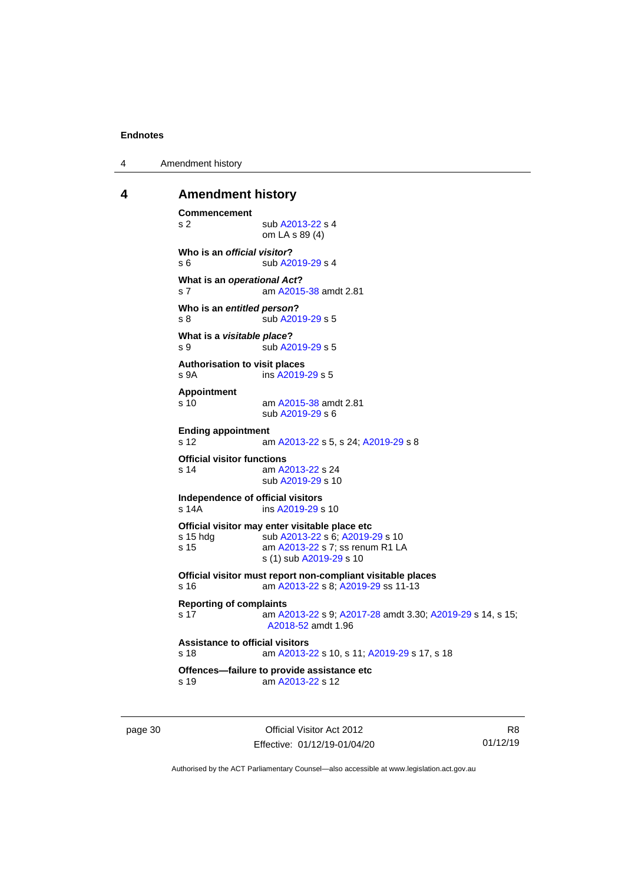4 Amendment history

#### <span id="page-35-0"></span>**4 Amendment history**

```
Commencement
 A2013-22 s 4
                om LA s 89 (4)
Who is an official visitor?
 A2019-29 s 4
What is an operational Act?
s 7 am A2015-38 amdt 2.81
Who is an entitled person?
s 8 sub A2019-29 s 5
What is a visitable place?
 A2019-29 s 5
Authorisation to visit places
s 9A ins A2019-29 s 5
Appointment
s 10 am A2015-38 amdt 2.81
                sub A2019-29 s 6
Ending appointment<br>s 12 an
                 A2013-22; A2019-29 s 8
Official visitor functions
s 14 am A2013-22 s 24
                sub A2019-29 s 10
Independence of official visitors
s 14A ins A2019-29 s 10
Official visitor may enter visitable place etc<br>s 15 hdg sub A2013-22 s 6; A2019-
 A2013-22; A2019-29 s 10<br>s 15 am A2013-22 s 7; ss renum R1 LA
                 A2013-22 s 7; ss renum R1 LA
                s (1) sub A2019-29 s 10
Official visitor must report non-compliant visitable places
s 16 am A2013-22 s 8; A2019-29 ss 11-13
Reporting of complaints
s 17 am A2013-22 s 9; A2017-28 amdt 3.30; A2019-29 s 14, s 15; 
                 A2018-52 amdt 1.96
Assistance to official visitors
s 18 am A2013-22 s 10, s 11; A2019-29 s 17, s 18
Offences—failure to provide assistance etc
s 19 am A2013-22 s 12
```
page 30 Official Visitor Act 2012 Effective: 01/12/19-01/04/20

R8 01/12/19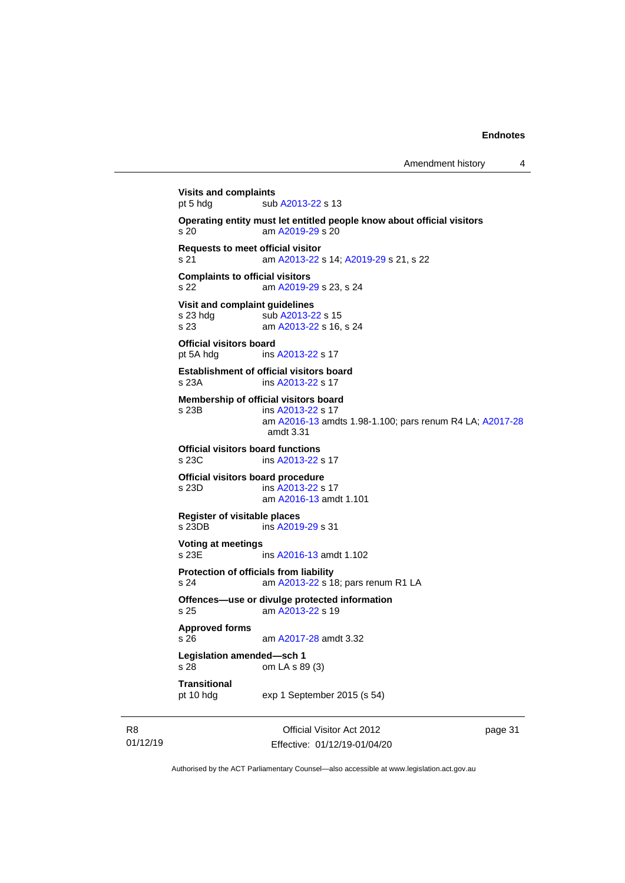**Visits and complaints** pt 5 hdg sub [A2013-22](http://www.legislation.act.gov.au/a/2013-22/default.asp) s 13 **Operating entity must let entitled people know about official visitors** s 20 am [A2019-29](http://www.legislation.act.gov.au/a/2019-29/default.asp) s 20 **Requests to meet official visitor** s 21 am [A2013-22](http://www.legislation.act.gov.au/a/2013-22/default.asp) s 14[; A2019-29](http://www.legislation.act.gov.au/a/2019-29/default.asp) s 21, s 22 **Complaints to official visitors** s 22 am [A2019-29](http://www.legislation.act.gov.au/a/2019-29/default.asp) s 23, s 24 **Visit and complaint guidelines** s 23 hdg sub [A2013-22](http://www.legislation.act.gov.au/a/2013-22/default.asp) s 15 s 23 am [A2013-22](http://www.legislation.act.gov.au/a/2013-22/default.asp) s 16, s 24 **Official visitors board** pt 5A hdg ins [A2013-22](http://www.legislation.act.gov.au/a/2013-22/default.asp) s 17 **Establishment of official visitors board** s 23A ins [A2013-22](http://www.legislation.act.gov.au/a/2013-22/default.asp) s 17 **Membership of official visitors board** s 23B ins [A2013-22](http://www.legislation.act.gov.au/a/2013-22/default.asp) s 17 am [A2016-13](http://www.legislation.act.gov.au/a/2016-13) amdts 1.98-1.100; pars renum R4 LA[; A2017-28](http://www.legislation.act.gov.au/a/2017-28/default.asp) amdt 3.31 **Official visitors board functions** s 23C ins [A2013-22](http://www.legislation.act.gov.au/a/2013-22/default.asp) s 17 **Official visitors board procedure** s 23D ins [A2013-22](http://www.legislation.act.gov.au/a/2013-22/default.asp) s 17 am [A2016-13](http://www.legislation.act.gov.au/a/2016-13) amdt 1.101 **Register of visitable places** s 23DB ins [A2019-29](http://www.legislation.act.gov.au/a/2019-29/default.asp) s 31 **Voting at meetings** s 23E ins [A2016-13](http://www.legislation.act.gov.au/a/2016-13) amdt 1.102 **Protection of officials from liability** s 24 am [A2013-22](http://www.legislation.act.gov.au/a/2013-22/default.asp) s 18; pars renum R1 LA **Offences—use or divulge protected information** s 25 am [A2013-22](http://www.legislation.act.gov.au/a/2013-22/default.asp) s 19 **Approved forms** s 26 am [A2017-28](http://www.legislation.act.gov.au/a/2017-28/default.asp) amdt 3.32 **Legislation amended—sch 1** s 28 om LA s 89 (3) **Transitional** exp 1 September 2015 (s 54)

R8 01/12/19

Official Visitor Act 2012 Effective: 01/12/19-01/04/20 page 31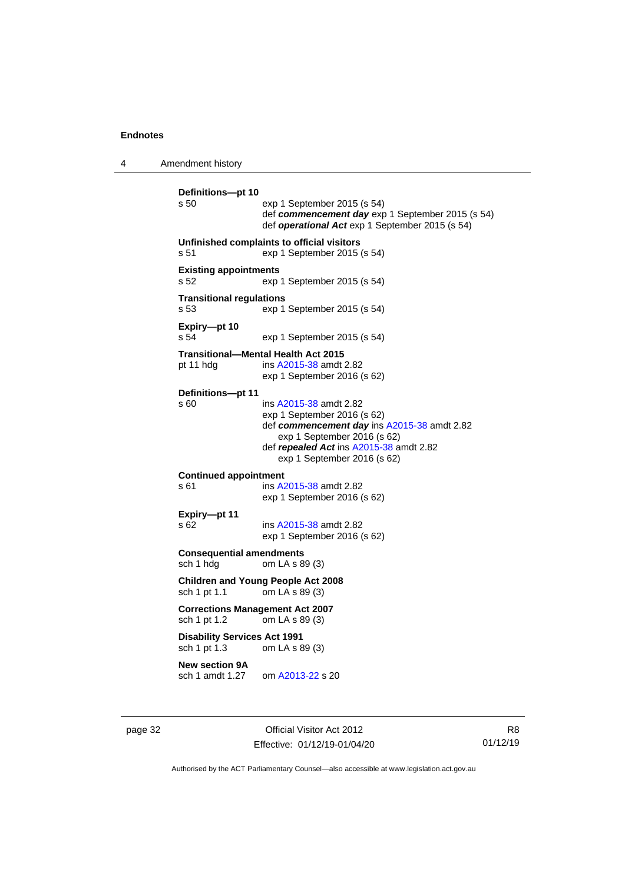4 Amendment history

**Definitions—pt 10** s 50 exp 1 September 2015 (s 54) def *commencement day* exp 1 September 2015 (s 54) def *operational Act* exp 1 September 2015 (s 54) **Unfinished complaints to official visitors** s 51 exp 1 September 2015 (s 54) **Existing appointments** s 52 exp 1 September 2015 (s 54) **Transitional regulations** s 53 exp 1 September 2015 (s 54) **Expiry-pt 10**<br>s 54 exp 1 September 2015 (s 54) **Transitional—Mental Health Act 2015** pt 11 hdg ins [A2015-38](http://www.legislation.act.gov.au/a/2015-38/default.asp) amdt 2.82 exp 1 September 2016 (s 62) **Definitions—pt 11** s 60 ins [A2015-38](http://www.legislation.act.gov.au/a/2015-38/default.asp) amdt 2.82 exp 1 September 2016 (s 62) def *commencement day* ins [A2015-38](http://www.legislation.act.gov.au/a/2015-38/default.asp) amdt 2.82 exp 1 September 2016 (s 62) def *repealed Act* ins [A2015-38](http://www.legislation.act.gov.au/a/2015-38/default.asp) amdt 2.82 exp 1 September 2016 (s 62) **Continued appointment** s 61 ins [A2015-38](http://www.legislation.act.gov.au/a/2015-38/default.asp) amdt 2.82 exp 1 September 2016 (s 62) **Expiry—pt 11** s 62 ins [A2015-38](http://www.legislation.act.gov.au/a/2015-38/default.asp) amdt 2.82 exp 1 September 2016 (s 62) **Consequential amendments** sch 1 hdg om LA s 89 (3) **Children and Young People Act 2008**<br>sch 1 pt 1.1 om LA s 89 (3)  $om LA$  s 89 (3) **Corrections Management Act 2007** sch 1 pt 1.2 om LA s 89 (3) **Disability Services Act 1991**<br>sch 1 pt 1.3 om LA s 8 om LA s 89 (3) **New section 9A** sch 1 amdt 1.27 om [A2013-22](http://www.legislation.act.gov.au/a/2013-22/default.asp) s 20

page 32 Official Visitor Act 2012 Effective: 01/12/19-01/04/20

R8 01/12/19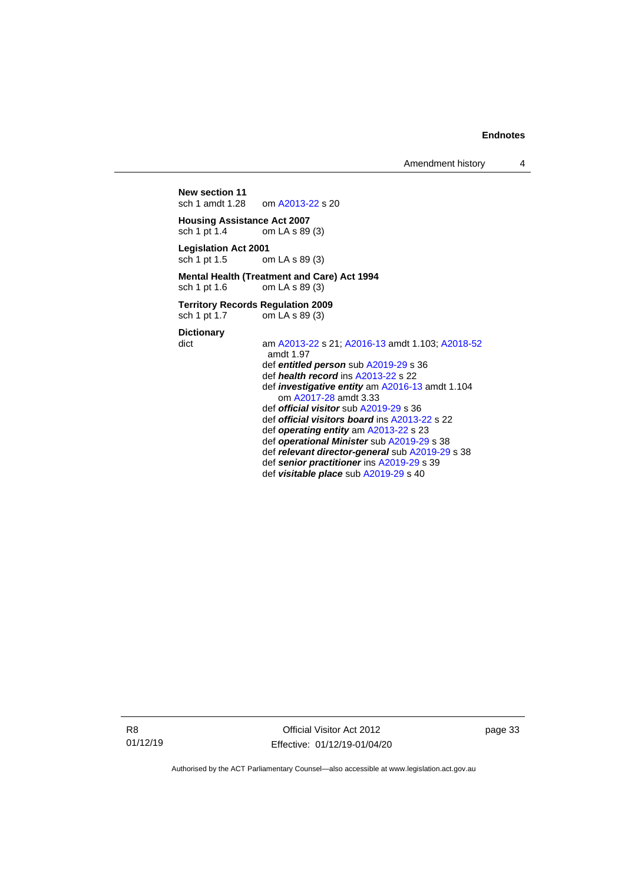Amendment history 4

**New section 11**<br>sch 1 amdt 1.28 om [A2013-22](http://www.legislation.act.gov.au/a/2013-22/default.asp) s 20

**Housing Assistance Act 2007** sch 1 pt 1.4 om LA s 89 (3)

**Legislation Act 2001** om LA s 89 (3)

**Mental Health (Treatment and Care) Act 1994** sch 1 pt 1.6 om LA s 89 (3)

**Territory Records Regulation 2009**<br>sch 1 pt 1.7 om LA s 89 (3) om LA s  $89(3)$ 

**Dictionary**

dict am [A2013-22](http://www.legislation.act.gov.au/a/2013-22/default.asp) s 21[; A2016-13](http://www.legislation.act.gov.au/a/2016-13) amdt 1.103; [A2018-52](http://www.legislation.act.gov.au/a/2018-52#history) amdt 1.97 def *entitled person* sub [A2019-29](http://www.legislation.act.gov.au/a/2019-29/default.asp) s 36 def *health record* in[s A2013-22](http://www.legislation.act.gov.au/a/2013-22/default.asp) s 22 def *investigative entity* a[m A2016-13](http://www.legislation.act.gov.au/a/2016-13) amdt 1.104 om [A2017-28](http://www.legislation.act.gov.au/a/2017-28/default.asp) amdt 3.33 def *official visitor* sub [A2019-29](http://www.legislation.act.gov.au/a/2019-29/default.asp) s 36 def *official visitors board* in[s A2013-22](http://www.legislation.act.gov.au/a/2013-22/default.asp) s 22 def *operating entity* am [A2013-22](http://www.legislation.act.gov.au/a/2013-22/default.asp) s 23 def *operational Minister* sub [A2019-29](http://www.legislation.act.gov.au/a/2019-29/default.asp) s 38 def *relevant director-general* sub [A2019-29](http://www.legislation.act.gov.au/a/2019-29/default.asp) s 38 def *senior practitioner* in[s A2019-29](http://www.legislation.act.gov.au/a/2019-29/default.asp) s 39 def *visitable place* sub [A2019-29](http://www.legislation.act.gov.au/a/2019-29/default.asp) s 40

R8 01/12/19

Official Visitor Act 2012 Effective: 01/12/19-01/04/20 page 33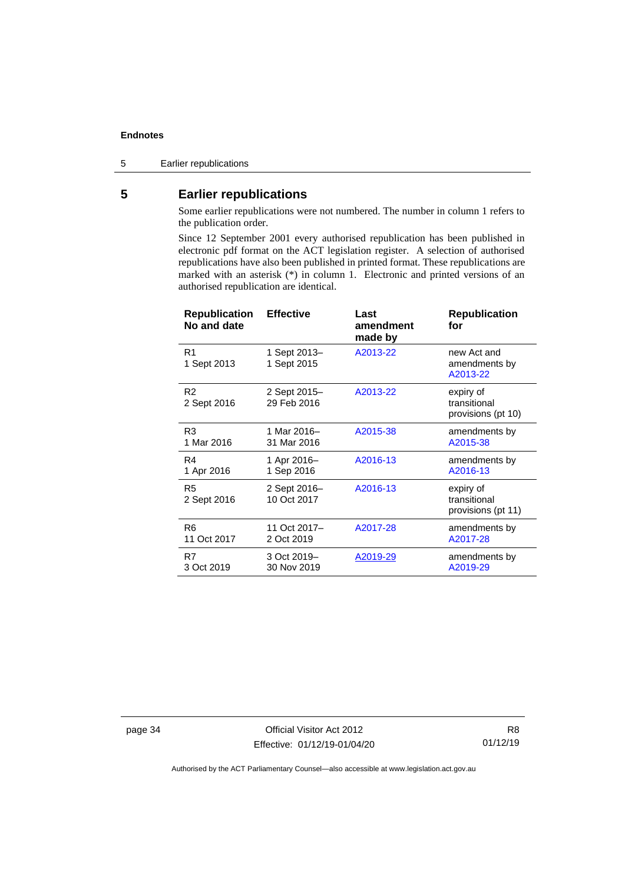5 Earlier republications

#### <span id="page-39-0"></span>**5 Earlier republications**

Some earlier republications were not numbered. The number in column 1 refers to the publication order.

Since 12 September 2001 every authorised republication has been published in electronic pdf format on the ACT legislation register. A selection of authorised republications have also been published in printed format. These republications are marked with an asterisk (\*) in column 1. Electronic and printed versions of an authorised republication are identical.

| <b>Republication</b><br>No and date | <b>Effective</b>            | Last<br>amendment<br>made by | <b>Republication</b><br>for                     |
|-------------------------------------|-----------------------------|------------------------------|-------------------------------------------------|
| R <sub>1</sub><br>1 Sept 2013       | 1 Sept 2013-<br>1 Sept 2015 | A2013-22                     | new Act and<br>amendments by<br>A2013-22        |
| R <sub>2</sub><br>2 Sept 2016       | 2 Sept 2015-<br>29 Feb 2016 | A2013-22                     | expiry of<br>transitional<br>provisions (pt 10) |
| R <sub>3</sub>                      | 1 Mar 2016-                 | A2015-38                     | amendments by                                   |
| 1 Mar 2016                          | 31 Mar 2016                 |                              | A2015-38                                        |
| R4                                  | 1 Apr 2016-                 | A2016-13                     | amendments by                                   |
| 1 Apr 2016                          | 1 Sep 2016                  |                              | A2016-13                                        |
| R <sub>5</sub><br>2 Sept 2016       | 2 Sept 2016-<br>10 Oct 2017 | A2016-13                     | expiry of<br>transitional<br>provisions (pt 11) |
| R <sub>6</sub>                      | 11 Oct 2017-                | A2017-28                     | amendments by                                   |
| 11 Oct 2017                         | 2 Oct 2019                  |                              | A2017-28                                        |
| R7                                  | 3 Oct 2019-                 | A2019-29                     | amendments by                                   |
| 3 Oct 2019                          | 30 Nov 2019                 |                              | A2019-29                                        |

page 34 Official Visitor Act 2012 Effective: 01/12/19-01/04/20

R8 01/12/19